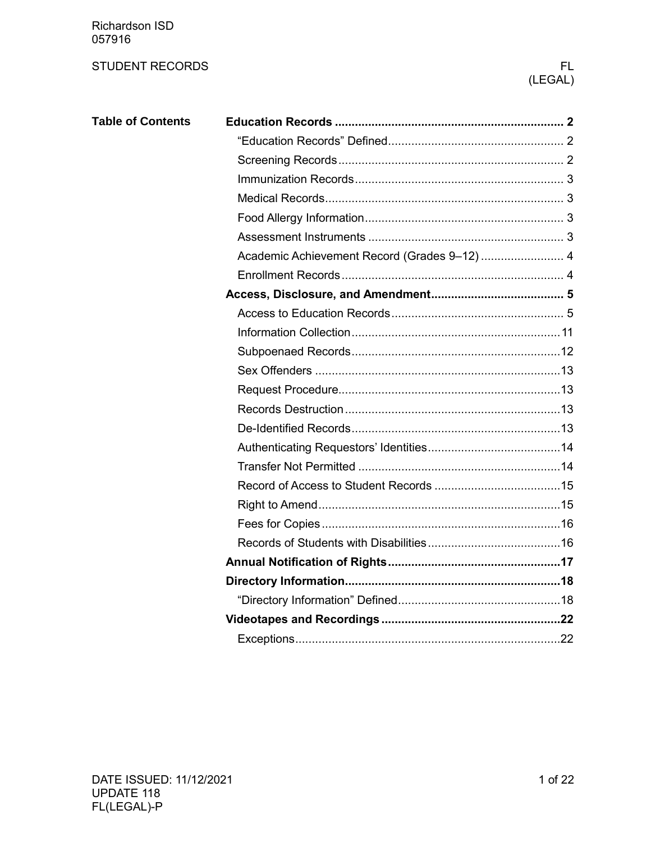Richardson ISD 057916

## STUDENT RECORDS FLOW THE STUDENT RECORDS FLOW THE STUDENT RECORDS FLOW THE STUDENT RECORDS

# (LEGAL)

| <b>Table of Contents</b> |                                              |
|--------------------------|----------------------------------------------|
|                          |                                              |
|                          |                                              |
|                          |                                              |
|                          |                                              |
|                          |                                              |
|                          |                                              |
|                          | Academic Achievement Record (Grades 9-12)  4 |
|                          |                                              |
|                          |                                              |
|                          |                                              |
|                          |                                              |
|                          |                                              |
|                          |                                              |
|                          |                                              |
|                          |                                              |
|                          |                                              |
|                          |                                              |
|                          |                                              |
|                          |                                              |
|                          |                                              |
|                          |                                              |
|                          |                                              |
|                          |                                              |
|                          |                                              |
|                          |                                              |
|                          |                                              |
|                          |                                              |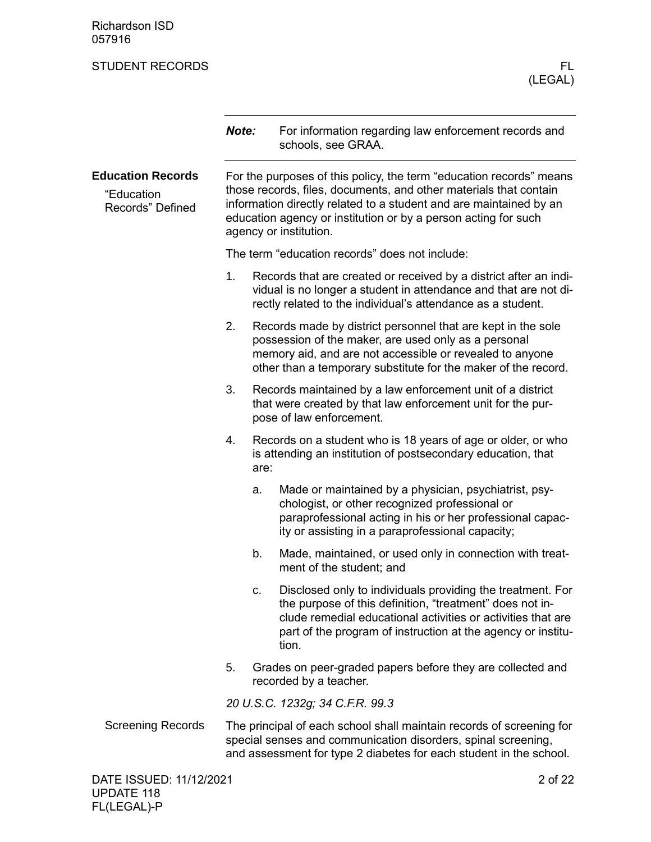Richardson ISD 057916

# <span id="page-1-1"></span><span id="page-1-0"></span>STUDENT RECORDS FLOW THE STUDENT RECORDS FLOW THAT IS A RELATED FLOW THAT IS A RELATED FLOW THAT IS A RELATED THAT IS A RELATED FLOW THAT IS A RELATED FLOW THAT IS A RELATED FLOW THAT IS A RELATED FOR DISPLACING THAT IS A (LEGAL) *Note:* For information regarding law enforcement records and schools, see GRAA. For the purposes of this policy, the term "education records" means those records, files, documents, and other materials that contain information directly related to a student and are maintained by an education agency or institution or by a person acting for such agency or institution. The term "education records" does not include: 1. Records that are created or received by a district after an individual is no longer a student in attendance and that are not directly related to the individual's attendance as a student. 2. Records made by district personnel that are kept in the sole possession of the maker, are used only as a personal memory aid, and are not accessible or revealed to anyone other than a temporary substitute for the maker of the record. 3. Records maintained by a law enforcement unit of a district that were created by that law enforcement unit for the purpose of law enforcement. 4. Records on a student who is 18 years of age or older, or who is attending an institution of postsecondary education, that are: a. Made or maintained by a physician, psychiatrist, psychologist, or other recognized professional or paraprofessional acting in his or her professional capacity or assisting in a paraprofessional capacity; b. Made, maintained, or used only in connection with treatment of the student; and c. Disclosed only to individuals providing the treatment. For the purpose of this definition, "treatment" does not include remedial educational activities or activities that are part of the program of instruction at the agency or institution. 5. Grades on peer-graded papers before they are collected and recorded by a teacher. *20 U.S.C. 1232g; 34 C.F.R. 99.3* The principal of each school shall maintain records of screening for **Education Records** "Education Records" Defined Screening Records

<span id="page-1-2"></span>special senses and communication disorders, spinal screening, and assessment for type 2 diabetes for each student in the school.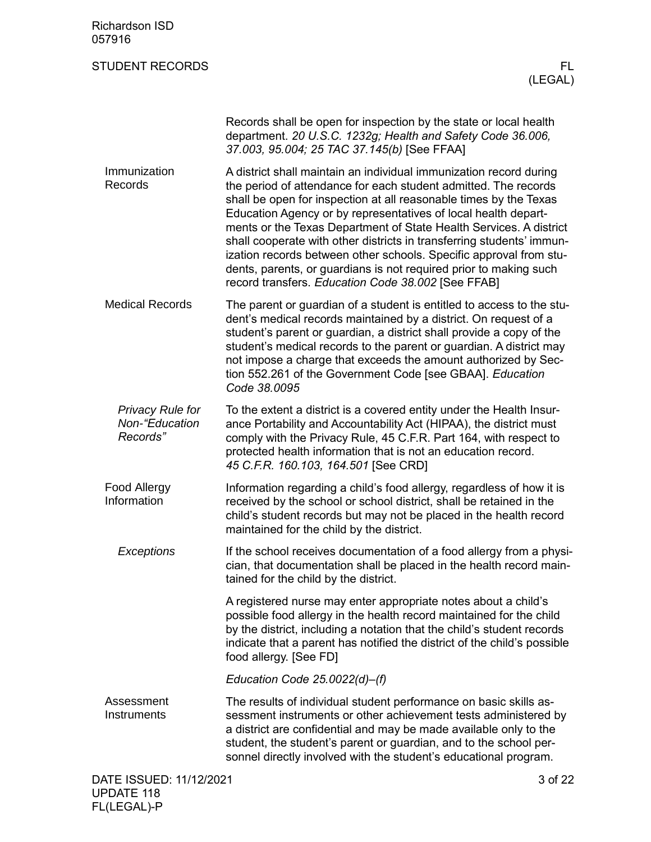<span id="page-2-1"></span><span id="page-2-0"></span>

| <b>Richardson ISD</b><br>057916                       |                                                                                                                                                                                                                                                                                                                                                                                                                                                                                                                                                                                                                              |                |
|-------------------------------------------------------|------------------------------------------------------------------------------------------------------------------------------------------------------------------------------------------------------------------------------------------------------------------------------------------------------------------------------------------------------------------------------------------------------------------------------------------------------------------------------------------------------------------------------------------------------------------------------------------------------------------------------|----------------|
| <b>STUDENT RECORDS</b>                                |                                                                                                                                                                                                                                                                                                                                                                                                                                                                                                                                                                                                                              | FL.<br>(LEGAL) |
|                                                       | Records shall be open for inspection by the state or local health<br>department. 20 U.S.C. 1232g; Health and Safety Code 36.006,<br>37.003, 95.004; 25 TAC 37.145(b) [See FFAA]                                                                                                                                                                                                                                                                                                                                                                                                                                              |                |
| Immunization<br>Records                               | A district shall maintain an individual immunization record during<br>the period of attendance for each student admitted. The records<br>shall be open for inspection at all reasonable times by the Texas<br>Education Agency or by representatives of local health depart-<br>ments or the Texas Department of State Health Services. A district<br>shall cooperate with other districts in transferring students' immun-<br>ization records between other schools. Specific approval from stu-<br>dents, parents, or guardians is not required prior to making such<br>record transfers. Education Code 38.002 [See FFAB] |                |
| <b>Medical Records</b>                                | The parent or guardian of a student is entitled to access to the stu-<br>dent's medical records maintained by a district. On request of a<br>student's parent or guardian, a district shall provide a copy of the<br>student's medical records to the parent or guardian. A district may<br>not impose a charge that exceeds the amount authorized by Sec-<br>tion 552.261 of the Government Code [see GBAA]. Education<br>Code 38.0095                                                                                                                                                                                      |                |
| <b>Privacy Rule for</b><br>Non-"Education<br>Records" | To the extent a district is a covered entity under the Health Insur-<br>ance Portability and Accountability Act (HIPAA), the district must<br>comply with the Privacy Rule, 45 C.F.R. Part 164, with respect to<br>protected health information that is not an education record.<br>45 C.F.R. 160.103, 164.501 [See CRD]                                                                                                                                                                                                                                                                                                     |                |
| Food Allergy<br>Information                           | Information regarding a child's food allergy, regardless of how it is<br>received by the school or school district, shall be retained in the<br>child's student records but may not be placed in the health record<br>maintained for the child by the district.                                                                                                                                                                                                                                                                                                                                                              |                |
| Exceptions                                            | If the school receives documentation of a food allergy from a physi-<br>cian, that documentation shall be placed in the health record main-<br>tained for the child by the district.                                                                                                                                                                                                                                                                                                                                                                                                                                         |                |
|                                                       | A registered nurse may enter appropriate notes about a child's<br>possible food allergy in the health record maintained for the child<br>by the district, including a notation that the child's student records<br>indicate that a parent has notified the district of the child's possible<br>food allergy. [See FD]                                                                                                                                                                                                                                                                                                        |                |
|                                                       | Education Code $25.0022(d)$ –(f)                                                                                                                                                                                                                                                                                                                                                                                                                                                                                                                                                                                             |                |
| Assessment<br>Instruments                             | The results of individual student performance on basic skills as-<br>sessment instruments or other achievement tests administered by<br>a district are confidential and may be made available only to the<br>student, the student's parent or guardian, and to the school per-<br>sonnel directly involved with the student's educational program.                                                                                                                                                                                                                                                                           |                |
| DATE ISSUED: 11/12/2021<br><b>UPDATE 118</b>          |                                                                                                                                                                                                                                                                                                                                                                                                                                                                                                                                                                                                                              | 3 of 22        |

<span id="page-2-3"></span><span id="page-2-2"></span>FL(LEGAL)-P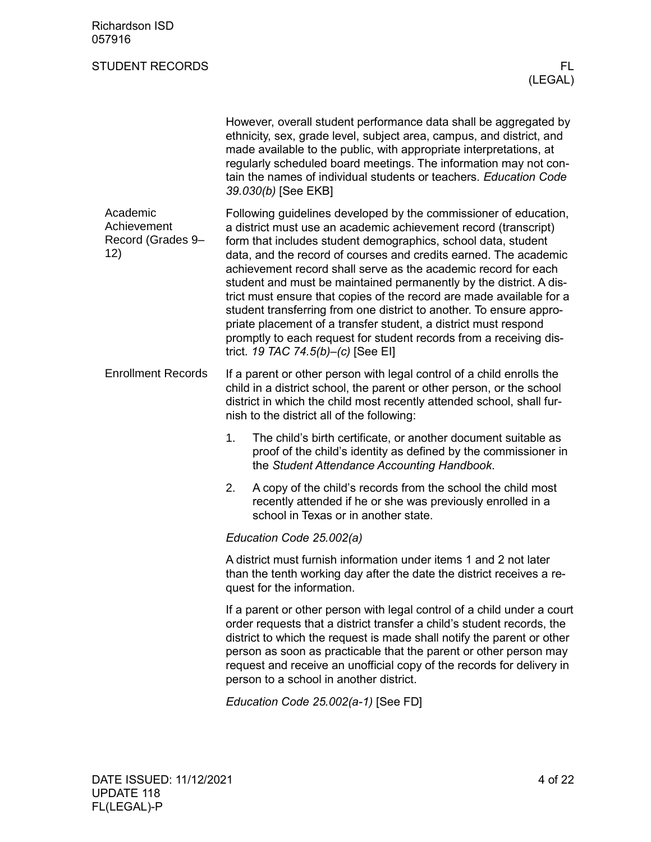<span id="page-3-1"></span><span id="page-3-0"></span>

|                                                     | However, overall student performance data shall be aggregated by<br>ethnicity, sex, grade level, subject area, campus, and district, and<br>made available to the public, with appropriate interpretations, at<br>regularly scheduled board meetings. The information may not con-<br>tain the names of individual students or teachers. Education Code<br>39.030(b) [See EKB]                                                                                                                                                                                                                                                                                                                                                                 |  |  |  |  |
|-----------------------------------------------------|------------------------------------------------------------------------------------------------------------------------------------------------------------------------------------------------------------------------------------------------------------------------------------------------------------------------------------------------------------------------------------------------------------------------------------------------------------------------------------------------------------------------------------------------------------------------------------------------------------------------------------------------------------------------------------------------------------------------------------------------|--|--|--|--|
| Academic<br>Achievement<br>Record (Grades 9-<br>12) | Following guidelines developed by the commissioner of education,<br>a district must use an academic achievement record (transcript)<br>form that includes student demographics, school data, student<br>data, and the record of courses and credits earned. The academic<br>achievement record shall serve as the academic record for each<br>student and must be maintained permanently by the district. A dis-<br>trict must ensure that copies of the record are made available for a<br>student transferring from one district to another. To ensure appro-<br>priate placement of a transfer student, a district must respond<br>promptly to each request for student records from a receiving dis-<br>trict. 19 TAC 74.5(b)-(c) [See EI] |  |  |  |  |
| <b>Enrollment Records</b>                           | If a parent or other person with legal control of a child enrolls the<br>child in a district school, the parent or other person, or the school<br>district in which the child most recently attended school, shall fur-<br>nish to the district all of the following:                                                                                                                                                                                                                                                                                                                                                                                                                                                                          |  |  |  |  |
|                                                     | 1.<br>The child's birth certificate, or another document suitable as<br>proof of the child's identity as defined by the commissioner in<br>the Student Attendance Accounting Handbook.                                                                                                                                                                                                                                                                                                                                                                                                                                                                                                                                                         |  |  |  |  |
|                                                     | A copy of the child's records from the school the child most<br>2.<br>recently attended if he or she was previously enrolled in a<br>school in Texas or in another state.                                                                                                                                                                                                                                                                                                                                                                                                                                                                                                                                                                      |  |  |  |  |
|                                                     | Education Code 25.002(a)                                                                                                                                                                                                                                                                                                                                                                                                                                                                                                                                                                                                                                                                                                                       |  |  |  |  |
|                                                     | A district must furnish information under items 1 and 2 not later<br>than the tenth working day after the date the district receives a re-<br>quest for the information.                                                                                                                                                                                                                                                                                                                                                                                                                                                                                                                                                                       |  |  |  |  |
|                                                     | If a parent or other person with legal control of a child under a court<br>order requests that a district transfer a child's student records, the<br>district to which the request is made shall notify the parent or other<br>person as soon as practicable that the parent or other person may<br>request and receive an unofficial copy of the records for delivery in<br>person to a school in another district.                                                                                                                                                                                                                                                                                                                           |  |  |  |  |
|                                                     | Education Code 25.002(a-1) [See FD]                                                                                                                                                                                                                                                                                                                                                                                                                                                                                                                                                                                                                                                                                                            |  |  |  |  |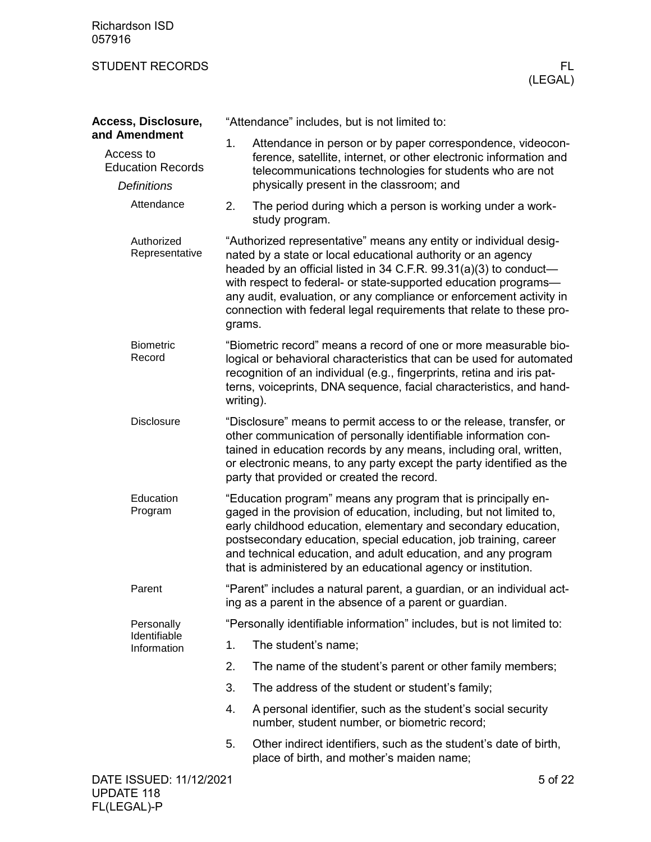<span id="page-4-1"></span><span id="page-4-0"></span>

| Access, Disclosure,                                                          |                                                                                                                                                                                                                                                                                                                                    | "Attendance" includes, but is not limited to:                                                                                                                                                                                                                                                                                                                                                                            |         |
|------------------------------------------------------------------------------|------------------------------------------------------------------------------------------------------------------------------------------------------------------------------------------------------------------------------------------------------------------------------------------------------------------------------------|--------------------------------------------------------------------------------------------------------------------------------------------------------------------------------------------------------------------------------------------------------------------------------------------------------------------------------------------------------------------------------------------------------------------------|---------|
| and Amendment<br>Access to<br><b>Education Records</b><br><b>Definitions</b> | 1.                                                                                                                                                                                                                                                                                                                                 | Attendance in person or by paper correspondence, videocon-<br>ference, satellite, internet, or other electronic information and<br>telecommunications technologies for students who are not<br>physically present in the classroom; and                                                                                                                                                                                  |         |
| Attendance                                                                   | 2.                                                                                                                                                                                                                                                                                                                                 | The period during which a person is working under a work-<br>study program.                                                                                                                                                                                                                                                                                                                                              |         |
| Authorized<br>Representative                                                 | grams.                                                                                                                                                                                                                                                                                                                             | "Authorized representative" means any entity or individual desig-<br>nated by a state or local educational authority or an agency<br>headed by an official listed in 34 C.F.R. 99.31(a)(3) to conduct-<br>with respect to federal- or state-supported education programs-<br>any audit, evaluation, or any compliance or enforcement activity in<br>connection with federal legal requirements that relate to these pro- |         |
| <b>Biometric</b><br>Record                                                   |                                                                                                                                                                                                                                                                                                                                    | "Biometric record" means a record of one or more measurable bio-<br>logical or behavioral characteristics that can be used for automated<br>recognition of an individual (e.g., fingerprints, retina and iris pat-<br>terns, voiceprints, DNA sequence, facial characteristics, and hand-<br>writing).                                                                                                                   |         |
| <b>Disclosure</b>                                                            | "Disclosure" means to permit access to or the release, transfer, or<br>other communication of personally identifiable information con-<br>tained in education records by any means, including oral, written,<br>or electronic means, to any party except the party identified as the<br>party that provided or created the record. |                                                                                                                                                                                                                                                                                                                                                                                                                          |         |
| Education<br>Program                                                         |                                                                                                                                                                                                                                                                                                                                    | "Education program" means any program that is principally en-<br>gaged in the provision of education, including, but not limited to,<br>early childhood education, elementary and secondary education,<br>postsecondary education, special education, job training, career<br>and technical education, and adult education, and any program<br>that is administered by an educational agency or institution.             |         |
| Parent                                                                       |                                                                                                                                                                                                                                                                                                                                    | "Parent" includes a natural parent, a guardian, or an individual act-<br>ing as a parent in the absence of a parent or guardian.                                                                                                                                                                                                                                                                                         |         |
| Personally                                                                   | "Personally identifiable information" includes, but is not limited to:                                                                                                                                                                                                                                                             |                                                                                                                                                                                                                                                                                                                                                                                                                          |         |
| Identifiable<br>Information                                                  | 1.                                                                                                                                                                                                                                                                                                                                 | The student's name;                                                                                                                                                                                                                                                                                                                                                                                                      |         |
|                                                                              | 2.                                                                                                                                                                                                                                                                                                                                 | The name of the student's parent or other family members;                                                                                                                                                                                                                                                                                                                                                                |         |
|                                                                              | 3.                                                                                                                                                                                                                                                                                                                                 | The address of the student or student's family;                                                                                                                                                                                                                                                                                                                                                                          |         |
|                                                                              | 4.                                                                                                                                                                                                                                                                                                                                 | A personal identifier, such as the student's social security<br>number, student number, or biometric record;                                                                                                                                                                                                                                                                                                             |         |
|                                                                              | 5.                                                                                                                                                                                                                                                                                                                                 | Other indirect identifiers, such as the student's date of birth,<br>place of birth, and mother's maiden name;                                                                                                                                                                                                                                                                                                            |         |
| DATE ISSUED: 11/12/2021                                                      |                                                                                                                                                                                                                                                                                                                                    |                                                                                                                                                                                                                                                                                                                                                                                                                          | 5 of 22 |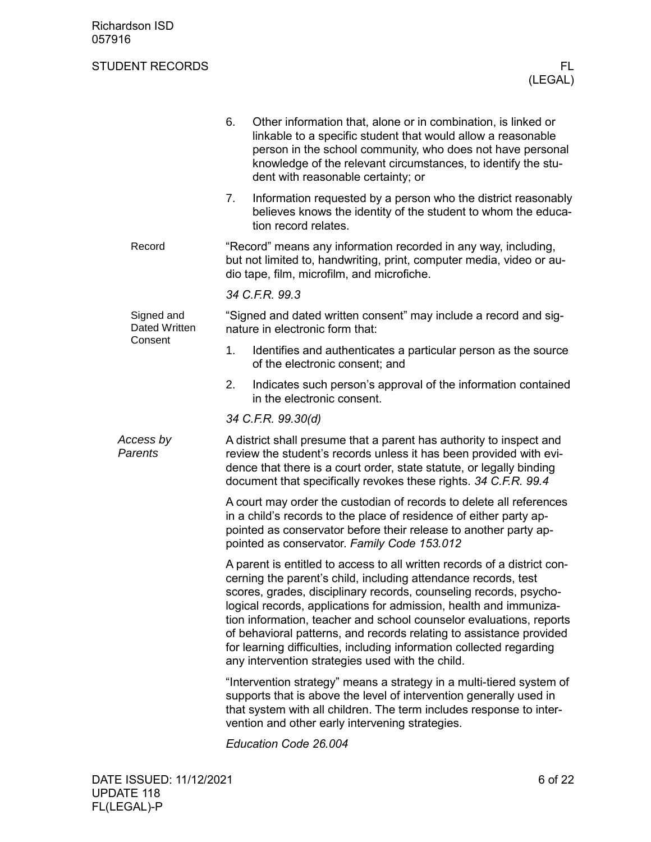|                                    | 6.                                                                                                                                                                                                                                                                                   | Other information that, alone or in combination, is linked or<br>linkable to a specific student that would allow a reasonable<br>person in the school community, who does not have personal<br>knowledge of the relevant circumstances, to identify the stu-<br>dent with reasonable certainty; or                                                                                                                                                                                                                                                             |  |  |  |  |
|------------------------------------|--------------------------------------------------------------------------------------------------------------------------------------------------------------------------------------------------------------------------------------------------------------------------------------|----------------------------------------------------------------------------------------------------------------------------------------------------------------------------------------------------------------------------------------------------------------------------------------------------------------------------------------------------------------------------------------------------------------------------------------------------------------------------------------------------------------------------------------------------------------|--|--|--|--|
|                                    | 7.                                                                                                                                                                                                                                                                                   | Information requested by a person who the district reasonably<br>believes knows the identity of the student to whom the educa-<br>tion record relates.                                                                                                                                                                                                                                                                                                                                                                                                         |  |  |  |  |
| Record                             | "Record" means any information recorded in any way, including,<br>but not limited to, handwriting, print, computer media, video or au-<br>dio tape, film, microfilm, and microfiche.                                                                                                 |                                                                                                                                                                                                                                                                                                                                                                                                                                                                                                                                                                |  |  |  |  |
|                                    |                                                                                                                                                                                                                                                                                      | 34 C.F.R. 99.3                                                                                                                                                                                                                                                                                                                                                                                                                                                                                                                                                 |  |  |  |  |
| Signed and<br><b>Dated Written</b> |                                                                                                                                                                                                                                                                                      | "Signed and dated written consent" may include a record and sig-<br>nature in electronic form that:                                                                                                                                                                                                                                                                                                                                                                                                                                                            |  |  |  |  |
| Consent                            | 1.                                                                                                                                                                                                                                                                                   | Identifies and authenticates a particular person as the source<br>of the electronic consent; and                                                                                                                                                                                                                                                                                                                                                                                                                                                               |  |  |  |  |
|                                    | 2.                                                                                                                                                                                                                                                                                   | Indicates such person's approval of the information contained<br>in the electronic consent.                                                                                                                                                                                                                                                                                                                                                                                                                                                                    |  |  |  |  |
|                                    | 34 C.F.R. 99.30(d)                                                                                                                                                                                                                                                                   |                                                                                                                                                                                                                                                                                                                                                                                                                                                                                                                                                                |  |  |  |  |
| Access by<br>Parents               | A district shall presume that a parent has authority to inspect and<br>review the student's records unless it has been provided with evi-<br>dence that there is a court order, state statute, or legally binding<br>document that specifically revokes these rights. 34 C.F.R. 99.4 |                                                                                                                                                                                                                                                                                                                                                                                                                                                                                                                                                                |  |  |  |  |
|                                    |                                                                                                                                                                                                                                                                                      | A court may order the custodian of records to delete all references<br>in a child's records to the place of residence of either party ap-<br>pointed as conservator before their release to another party ap-<br>pointed as conservator. Family Code 153.012                                                                                                                                                                                                                                                                                                   |  |  |  |  |
|                                    |                                                                                                                                                                                                                                                                                      | A parent is entitled to access to all written records of a district con-<br>cerning the parent's child, including attendance records, test<br>scores, grades, disciplinary records, counseling records, psycho-<br>logical records, applications for admission, health and immuniza-<br>tion information, teacher and school counselor evaluations, reports<br>of behavioral patterns, and records relating to assistance provided<br>for learning difficulties, including information collected regarding<br>any intervention strategies used with the child. |  |  |  |  |
|                                    |                                                                                                                                                                                                                                                                                      | "Intervention strategy" means a strategy in a multi-tiered system of<br>supports that is above the level of intervention generally used in<br>that system with all children. The term includes response to inter-<br>vention and other early intervening strategies.                                                                                                                                                                                                                                                                                           |  |  |  |  |
|                                    |                                                                                                                                                                                                                                                                                      |                                                                                                                                                                                                                                                                                                                                                                                                                                                                                                                                                                |  |  |  |  |

*Education Code 26.004*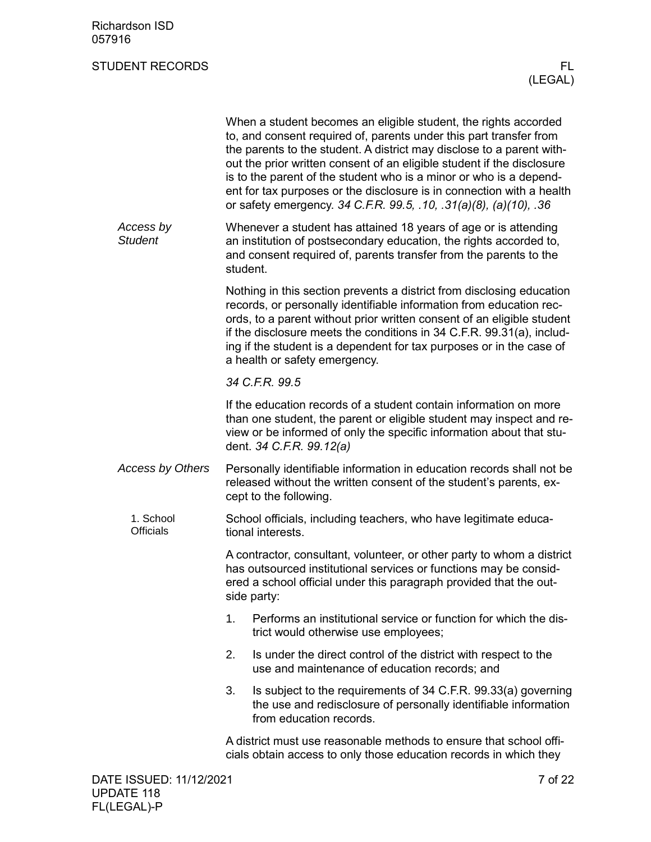|                               | When a student becomes an eligible student, the rights accorded<br>to, and consent required of, parents under this part transfer from<br>the parents to the student. A district may disclose to a parent with-<br>out the prior written consent of an eligible student if the disclosure<br>is to the parent of the student who is a minor or who is a depend-<br>ent for tax purposes or the disclosure is in connection with a health<br>or safety emergency. 34 C.F.R. 99.5, .10, .31(a)(8), (a)(10), .36 |
|-------------------------------|--------------------------------------------------------------------------------------------------------------------------------------------------------------------------------------------------------------------------------------------------------------------------------------------------------------------------------------------------------------------------------------------------------------------------------------------------------------------------------------------------------------|
| Access by<br><b>Student</b>   | Whenever a student has attained 18 years of age or is attending<br>an institution of postsecondary education, the rights accorded to,<br>and consent required of, parents transfer from the parents to the<br>student.                                                                                                                                                                                                                                                                                       |
|                               | Nothing in this section prevents a district from disclosing education<br>records, or personally identifiable information from education rec-<br>ords, to a parent without prior written consent of an eligible student<br>if the disclosure meets the conditions in 34 C.F.R. 99.31(a), includ-<br>ing if the student is a dependent for tax purposes or in the case of<br>a health or safety emergency.                                                                                                     |
|                               | 34 C.F.R. 99.5                                                                                                                                                                                                                                                                                                                                                                                                                                                                                               |
|                               | If the education records of a student contain information on more<br>than one student, the parent or eligible student may inspect and re-<br>view or be informed of only the specific information about that stu-<br>dent. 34 C.F.R. 99.12(a)                                                                                                                                                                                                                                                                |
| <b>Access by Others</b>       | Personally identifiable information in education records shall not be<br>released without the written consent of the student's parents, ex-<br>cept to the following.                                                                                                                                                                                                                                                                                                                                        |
| 1. School<br><b>Officials</b> | School officials, including teachers, who have legitimate educa-<br>tional interests.                                                                                                                                                                                                                                                                                                                                                                                                                        |
|                               | A contractor, consultant, volunteer, or other party to whom a district<br>has outsourced institutional services or functions may be consid-<br>ered a school official under this paragraph provided that the out-<br>side party:                                                                                                                                                                                                                                                                             |
|                               | Performs an institutional service or function for which the dis-<br>1.<br>trict would otherwise use employees;                                                                                                                                                                                                                                                                                                                                                                                               |
|                               | 2.<br>Is under the direct control of the district with respect to the<br>use and maintenance of education records; and                                                                                                                                                                                                                                                                                                                                                                                       |
|                               | Is subject to the requirements of 34 C.F.R. 99.33(a) governing<br>3.<br>the use and redisclosure of personally identifiable information<br>from education records.                                                                                                                                                                                                                                                                                                                                           |
|                               | A district must use reasonable methods to ensure that school offi-<br>cials obtain access to only those education records in which they                                                                                                                                                                                                                                                                                                                                                                      |
|                               |                                                                                                                                                                                                                                                                                                                                                                                                                                                                                                              |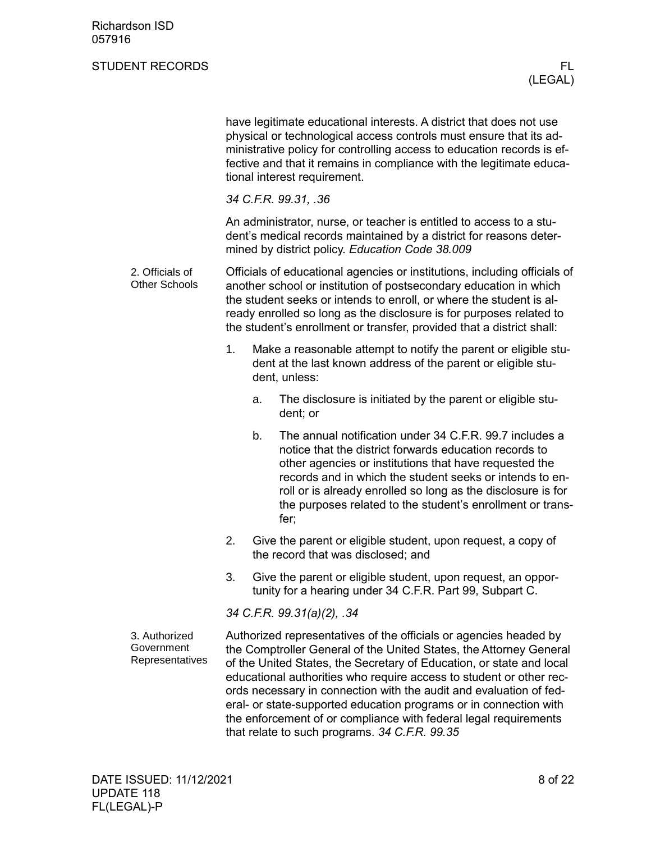|                                                |                                                                                                                                                                                                                                                                                                                                                                       |    | have legitimate educational interests. A district that does not use<br>physical or technological access controls must ensure that its ad-<br>ministrative policy for controlling access to education records is ef-<br>fective and that it remains in compliance with the legitimate educa-<br>tional interest requirement.                                                                                                                                                                           |  |
|------------------------------------------------|-----------------------------------------------------------------------------------------------------------------------------------------------------------------------------------------------------------------------------------------------------------------------------------------------------------------------------------------------------------------------|----|-------------------------------------------------------------------------------------------------------------------------------------------------------------------------------------------------------------------------------------------------------------------------------------------------------------------------------------------------------------------------------------------------------------------------------------------------------------------------------------------------------|--|
|                                                |                                                                                                                                                                                                                                                                                                                                                                       |    | 34 C.F.R. 99.31, .36                                                                                                                                                                                                                                                                                                                                                                                                                                                                                  |  |
|                                                |                                                                                                                                                                                                                                                                                                                                                                       |    | An administrator, nurse, or teacher is entitled to access to a stu-<br>dent's medical records maintained by a district for reasons deter-<br>mined by district policy. Education Code 38.009                                                                                                                                                                                                                                                                                                          |  |
| 2. Officials of<br><b>Other Schools</b>        | Officials of educational agencies or institutions, including officials of<br>another school or institution of postsecondary education in which<br>the student seeks or intends to enroll, or where the student is al-<br>ready enrolled so long as the disclosure is for purposes related to<br>the student's enrollment or transfer, provided that a district shall: |    |                                                                                                                                                                                                                                                                                                                                                                                                                                                                                                       |  |
|                                                | 1.                                                                                                                                                                                                                                                                                                                                                                    |    | Make a reasonable attempt to notify the parent or eligible stu-<br>dent at the last known address of the parent or eligible stu-<br>dent, unless:                                                                                                                                                                                                                                                                                                                                                     |  |
|                                                |                                                                                                                                                                                                                                                                                                                                                                       | a. | The disclosure is initiated by the parent or eligible stu-<br>dent; or                                                                                                                                                                                                                                                                                                                                                                                                                                |  |
|                                                |                                                                                                                                                                                                                                                                                                                                                                       | b. | The annual notification under 34 C.F.R. 99.7 includes a<br>notice that the district forwards education records to<br>other agencies or institutions that have requested the<br>records and in which the student seeks or intends to en-<br>roll or is already enrolled so long as the disclosure is for<br>the purposes related to the student's enrollment or trans-<br>fer;                                                                                                                         |  |
|                                                | 2.                                                                                                                                                                                                                                                                                                                                                                    |    | Give the parent or eligible student, upon request, a copy of<br>the record that was disclosed; and                                                                                                                                                                                                                                                                                                                                                                                                    |  |
|                                                | 3.                                                                                                                                                                                                                                                                                                                                                                    |    | Give the parent or eligible student, upon request, an oppor-<br>tunity for a hearing under 34 C.F.R. Part 99, Subpart C.                                                                                                                                                                                                                                                                                                                                                                              |  |
|                                                |                                                                                                                                                                                                                                                                                                                                                                       |    | 34 C.F.R. 99.31(a)(2), .34                                                                                                                                                                                                                                                                                                                                                                                                                                                                            |  |
| 3. Authorized<br>Government<br>Representatives |                                                                                                                                                                                                                                                                                                                                                                       |    | Authorized representatives of the officials or agencies headed by<br>the Comptroller General of the United States, the Attorney General<br>of the United States, the Secretary of Education, or state and local<br>educational authorities who require access to student or other rec-<br>ords necessary in connection with the audit and evaluation of fed-<br>eral- or state-supported education programs or in connection with<br>the enforcement of or compliance with federal legal requirements |  |

that relate to such programs. *34 C.F.R. 99.35*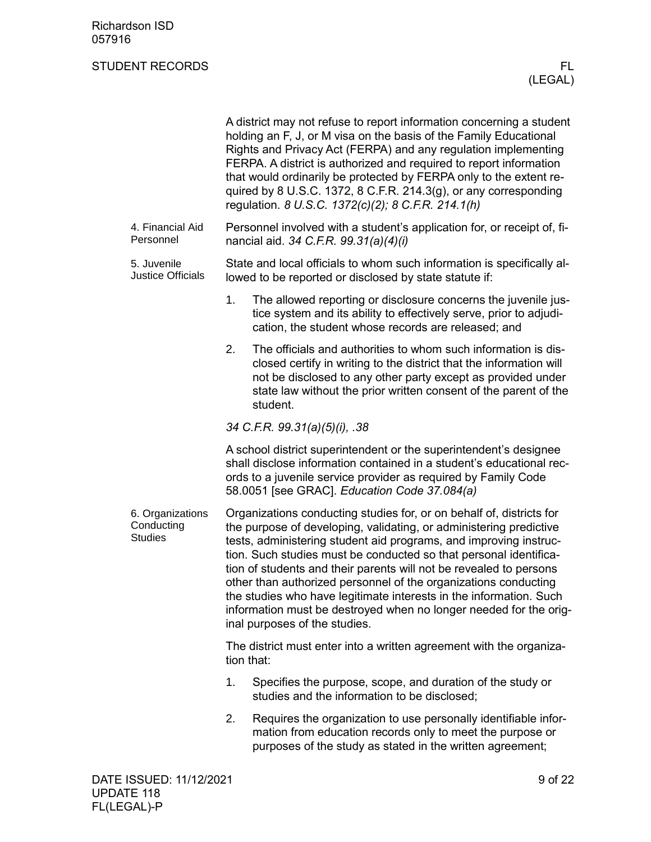|                                                  |            | A district may not refuse to report information concerning a student<br>holding an F, J, or M visa on the basis of the Family Educational<br>Rights and Privacy Act (FERPA) and any regulation implementing<br>FERPA. A district is authorized and required to report information<br>that would ordinarily be protected by FERPA only to the extent re-<br>quired by 8 U.S.C. 1372, 8 C.F.R. 214.3(g), or any corresponding<br>regulation. 8 U.S.C. 1372(c)(2); 8 C.F.R. 214.1(h)                                                                                                                         |         |
|--------------------------------------------------|------------|-----------------------------------------------------------------------------------------------------------------------------------------------------------------------------------------------------------------------------------------------------------------------------------------------------------------------------------------------------------------------------------------------------------------------------------------------------------------------------------------------------------------------------------------------------------------------------------------------------------|---------|
| 4. Financial Aid<br>Personnel                    |            | Personnel involved with a student's application for, or receipt of, fi-<br>nancial aid. 34 C.F.R. 99.31(a)(4)(i)                                                                                                                                                                                                                                                                                                                                                                                                                                                                                          |         |
| 5. Juvenile<br><b>Justice Officials</b>          |            | State and local officials to whom such information is specifically al-<br>lowed to be reported or disclosed by state statute if:                                                                                                                                                                                                                                                                                                                                                                                                                                                                          |         |
|                                                  | 1.         | The allowed reporting or disclosure concerns the juvenile jus-<br>tice system and its ability to effectively serve, prior to adjudi-<br>cation, the student whose records are released; and                                                                                                                                                                                                                                                                                                                                                                                                               |         |
|                                                  | 2.         | The officials and authorities to whom such information is dis-<br>closed certify in writing to the district that the information will<br>not be disclosed to any other party except as provided under<br>state law without the prior written consent of the parent of the<br>student.                                                                                                                                                                                                                                                                                                                     |         |
|                                                  |            | 34 C.F.R. 99.31(a)(5)(i), .38                                                                                                                                                                                                                                                                                                                                                                                                                                                                                                                                                                             |         |
|                                                  |            | A school district superintendent or the superintendent's designee<br>shall disclose information contained in a student's educational rec-<br>ords to a juvenile service provider as required by Family Code<br>58.0051 [see GRAC]. Education Code 37.084(a)                                                                                                                                                                                                                                                                                                                                               |         |
| 6. Organizations<br>Conducting<br><b>Studies</b> |            | Organizations conducting studies for, or on behalf of, districts for<br>the purpose of developing, validating, or administering predictive<br>tests, administering student aid programs, and improving instruc-<br>tion. Such studies must be conducted so that personal identifica-<br>tion of students and their parents will not be revealed to persons<br>other than authorized personnel of the organizations conducting<br>the studies who have legitimate interests in the information. Such<br>information must be destroyed when no longer needed for the orig-<br>inal purposes of the studies. |         |
|                                                  | tion that: | The district must enter into a written agreement with the organiza-                                                                                                                                                                                                                                                                                                                                                                                                                                                                                                                                       |         |
|                                                  | 1.         | Specifies the purpose, scope, and duration of the study or<br>studies and the information to be disclosed;                                                                                                                                                                                                                                                                                                                                                                                                                                                                                                |         |
|                                                  | 2.         | Requires the organization to use personally identifiable infor-<br>mation from education records only to meet the purpose or<br>purposes of the study as stated in the written agreement;                                                                                                                                                                                                                                                                                                                                                                                                                 |         |
| DATE ISSUED: 11/12/2021                          |            |                                                                                                                                                                                                                                                                                                                                                                                                                                                                                                                                                                                                           | 9 of 22 |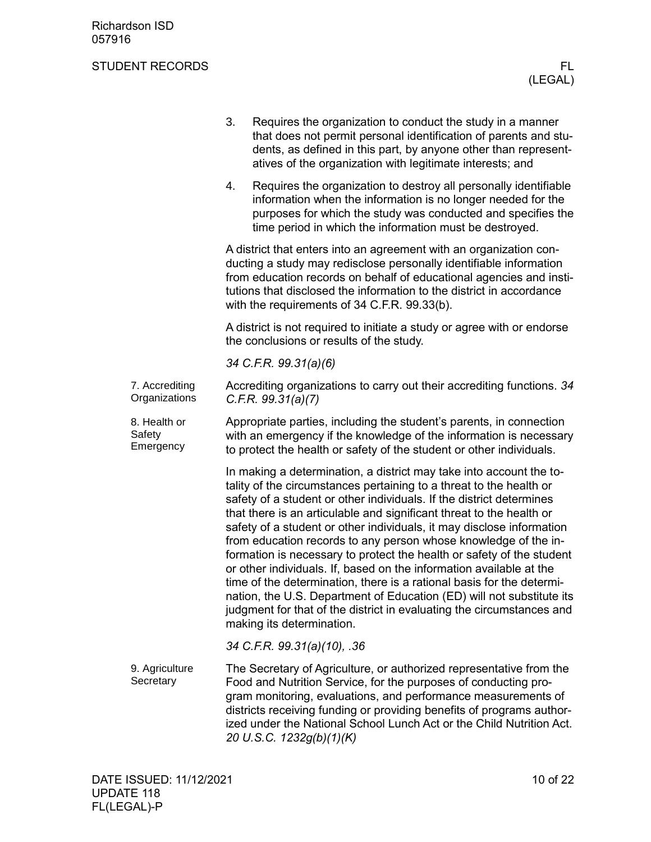|                                     | 3. | Requires the organization to conduct the study in a manner<br>that does not permit personal identification of parents and stu-<br>dents, as defined in this part, by anyone other than represent-<br>atives of the organization with legitimate interests; and                                                                                                                                                                                                                                                                                                                                                                                                                                                                                                                                                                                 |
|-------------------------------------|----|------------------------------------------------------------------------------------------------------------------------------------------------------------------------------------------------------------------------------------------------------------------------------------------------------------------------------------------------------------------------------------------------------------------------------------------------------------------------------------------------------------------------------------------------------------------------------------------------------------------------------------------------------------------------------------------------------------------------------------------------------------------------------------------------------------------------------------------------|
|                                     | 4. | Requires the organization to destroy all personally identifiable<br>information when the information is no longer needed for the<br>purposes for which the study was conducted and specifies the<br>time period in which the information must be destroyed.                                                                                                                                                                                                                                                                                                                                                                                                                                                                                                                                                                                    |
|                                     |    | A district that enters into an agreement with an organization con-<br>ducting a study may redisclose personally identifiable information<br>from education records on behalf of educational agencies and insti-<br>tutions that disclosed the information to the district in accordance<br>with the requirements of 34 C.F.R. 99.33(b).                                                                                                                                                                                                                                                                                                                                                                                                                                                                                                        |
|                                     |    | A district is not required to initiate a study or agree with or endorse<br>the conclusions or results of the study.                                                                                                                                                                                                                                                                                                                                                                                                                                                                                                                                                                                                                                                                                                                            |
|                                     |    | 34 C.F.R. 99.31(a)(6)                                                                                                                                                                                                                                                                                                                                                                                                                                                                                                                                                                                                                                                                                                                                                                                                                          |
| 7. Accrediting<br>Organizations     |    | Accrediting organizations to carry out their accrediting functions. 34<br>C.F.R. 99.31(a)(7)                                                                                                                                                                                                                                                                                                                                                                                                                                                                                                                                                                                                                                                                                                                                                   |
| 8. Health or<br>Safety<br>Emergency |    | Appropriate parties, including the student's parents, in connection<br>with an emergency if the knowledge of the information is necessary<br>to protect the health or safety of the student or other individuals.                                                                                                                                                                                                                                                                                                                                                                                                                                                                                                                                                                                                                              |
|                                     |    | In making a determination, a district may take into account the to-<br>tality of the circumstances pertaining to a threat to the health or<br>safety of a student or other individuals. If the district determines<br>that there is an articulable and significant threat to the health or<br>safety of a student or other individuals, it may disclose information<br>from education records to any person whose knowledge of the in-<br>formation is necessary to protect the health or safety of the student<br>or other individuals. If, based on the information available at the<br>time of the determination, there is a rational basis for the determi-<br>nation, the U.S. Department of Education (ED) will not substitute its<br>judgment for that of the district in evaluating the circumstances and<br>making its determination. |
|                                     |    | 34 C.F.R. 99.31(a)(10), .36                                                                                                                                                                                                                                                                                                                                                                                                                                                                                                                                                                                                                                                                                                                                                                                                                    |
| 9. Agriculture<br>Secretary         |    | The Secretary of Agriculture, or authorized representative from the<br>Food and Nutrition Service, for the purposes of conducting pro-<br>gram monitoring, evaluations, and performance measurements of<br>districts receiving funding or providing benefits of programs author-<br>ized under the National School Lunch Act or the Child Nutrition Act.<br>20 U.S.C. 1232g(b)(1)(K)                                                                                                                                                                                                                                                                                                                                                                                                                                                           |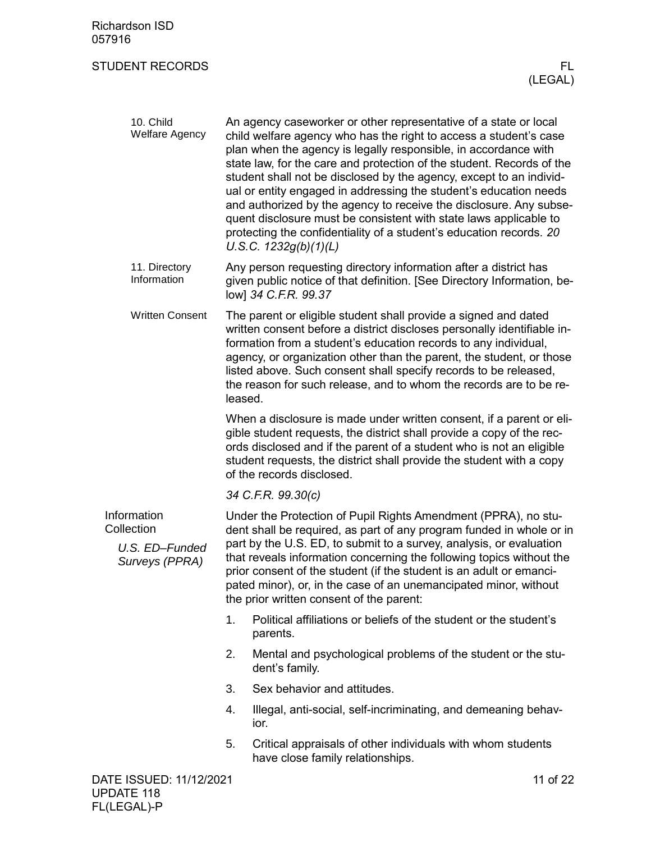<span id="page-10-0"></span>

| 10. Child<br><b>Welfare Agency</b>                            |                                                                                                                                                                                                                                                                                                                                                                                                                                                                              | An agency caseworker or other representative of a state or local<br>child welfare agency who has the right to access a student's case<br>plan when the agency is legally responsible, in accordance with<br>state law, for the care and protection of the student. Records of the<br>student shall not be disclosed by the agency, except to an individ-<br>ual or entity engaged in addressing the student's education needs<br>and authorized by the agency to receive the disclosure. Any subse-<br>quent disclosure must be consistent with state laws applicable to<br>protecting the confidentiality of a student's education records. 20<br>U.S.C. $1232g(b)(1)(L)$ |
|---------------------------------------------------------------|------------------------------------------------------------------------------------------------------------------------------------------------------------------------------------------------------------------------------------------------------------------------------------------------------------------------------------------------------------------------------------------------------------------------------------------------------------------------------|----------------------------------------------------------------------------------------------------------------------------------------------------------------------------------------------------------------------------------------------------------------------------------------------------------------------------------------------------------------------------------------------------------------------------------------------------------------------------------------------------------------------------------------------------------------------------------------------------------------------------------------------------------------------------|
| 11. Directory<br>Information                                  |                                                                                                                                                                                                                                                                                                                                                                                                                                                                              | Any person requesting directory information after a district has<br>given public notice of that definition. [See Directory Information, be-<br>low] 34 C.F.R. 99.37                                                                                                                                                                                                                                                                                                                                                                                                                                                                                                        |
| <b>Written Consent</b>                                        | leased.                                                                                                                                                                                                                                                                                                                                                                                                                                                                      | The parent or eligible student shall provide a signed and dated<br>written consent before a district discloses personally identifiable in-<br>formation from a student's education records to any individual,<br>agency, or organization other than the parent, the student, or those<br>listed above. Such consent shall specify records to be released,<br>the reason for such release, and to whom the records are to be re-                                                                                                                                                                                                                                            |
|                                                               |                                                                                                                                                                                                                                                                                                                                                                                                                                                                              | When a disclosure is made under written consent, if a parent or eli-<br>gible student requests, the district shall provide a copy of the rec-<br>ords disclosed and if the parent of a student who is not an eligible<br>student requests, the district shall provide the student with a copy<br>of the records disclosed.                                                                                                                                                                                                                                                                                                                                                 |
|                                                               |                                                                                                                                                                                                                                                                                                                                                                                                                                                                              | 34 C.F.R. 99.30(c)                                                                                                                                                                                                                                                                                                                                                                                                                                                                                                                                                                                                                                                         |
| Information<br>Collection<br>U.S. ED-Funded<br>Surveys (PPRA) | Under the Protection of Pupil Rights Amendment (PPRA), no stu-<br>dent shall be required, as part of any program funded in whole or in<br>part by the U.S. ED, to submit to a survey, analysis, or evaluation<br>that reveals information concerning the following topics without the<br>prior consent of the student (if the student is an adult or emanci-<br>pated minor), or, in the case of an unemancipated minor, without<br>the prior written consent of the parent: |                                                                                                                                                                                                                                                                                                                                                                                                                                                                                                                                                                                                                                                                            |
|                                                               | 1.                                                                                                                                                                                                                                                                                                                                                                                                                                                                           | Political affiliations or beliefs of the student or the student's<br>parents.                                                                                                                                                                                                                                                                                                                                                                                                                                                                                                                                                                                              |
|                                                               | 2.                                                                                                                                                                                                                                                                                                                                                                                                                                                                           | Mental and psychological problems of the student or the stu-<br>dent's family.                                                                                                                                                                                                                                                                                                                                                                                                                                                                                                                                                                                             |
|                                                               | 3.                                                                                                                                                                                                                                                                                                                                                                                                                                                                           | Sex behavior and attitudes.                                                                                                                                                                                                                                                                                                                                                                                                                                                                                                                                                                                                                                                |
|                                                               | 4.                                                                                                                                                                                                                                                                                                                                                                                                                                                                           | Illegal, anti-social, self-incriminating, and demeaning behav-<br>ior.                                                                                                                                                                                                                                                                                                                                                                                                                                                                                                                                                                                                     |
|                                                               | 5.                                                                                                                                                                                                                                                                                                                                                                                                                                                                           | Critical appraisals of other individuals with whom students<br>have close family relationships.                                                                                                                                                                                                                                                                                                                                                                                                                                                                                                                                                                            |
| DATE ISSUED: 11/12/2021<br>11 of 22                           |                                                                                                                                                                                                                                                                                                                                                                                                                                                                              |                                                                                                                                                                                                                                                                                                                                                                                                                                                                                                                                                                                                                                                                            |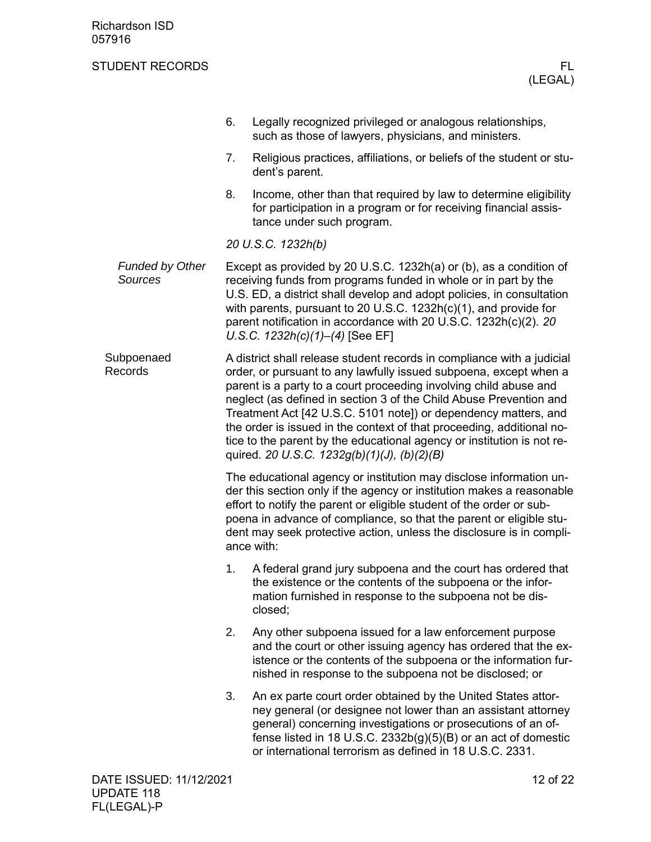<span id="page-11-0"></span>

|                                          | 6.                                                                                                                                                                                                                                                                                                                                                                                                                                                                                                                                                          | Legally recognized privileged or analogous relationships,<br>such as those of lawyers, physicians, and ministers.                                                                                                                                                                                                                                                                              |  |
|------------------------------------------|-------------------------------------------------------------------------------------------------------------------------------------------------------------------------------------------------------------------------------------------------------------------------------------------------------------------------------------------------------------------------------------------------------------------------------------------------------------------------------------------------------------------------------------------------------------|------------------------------------------------------------------------------------------------------------------------------------------------------------------------------------------------------------------------------------------------------------------------------------------------------------------------------------------------------------------------------------------------|--|
|                                          | 7.                                                                                                                                                                                                                                                                                                                                                                                                                                                                                                                                                          | Religious practices, affiliations, or beliefs of the student or stu-<br>dent's parent.                                                                                                                                                                                                                                                                                                         |  |
|                                          | 8.                                                                                                                                                                                                                                                                                                                                                                                                                                                                                                                                                          | Income, other than that required by law to determine eligibility<br>for participation in a program or for receiving financial assis-<br>tance under such program.                                                                                                                                                                                                                              |  |
|                                          |                                                                                                                                                                                                                                                                                                                                                                                                                                                                                                                                                             | 20 U.S.C. 1232h(b)                                                                                                                                                                                                                                                                                                                                                                             |  |
| <b>Funded by Other</b><br><b>Sources</b> |                                                                                                                                                                                                                                                                                                                                                                                                                                                                                                                                                             | Except as provided by 20 U.S.C. 1232h(a) or (b), as a condition of<br>receiving funds from programs funded in whole or in part by the<br>U.S. ED, a district shall develop and adopt policies, in consultation<br>with parents, pursuant to 20 U.S.C. $1232h(c)(1)$ , and provide for<br>parent notification in accordance with 20 U.S.C. 1232h(c)(2). 20<br>U.S.C. $1232h(c)(1)–(4)$ [See EF] |  |
| Subpoenaed<br>Records                    | A district shall release student records in compliance with a judicial<br>order, or pursuant to any lawfully issued subpoena, except when a<br>parent is a party to a court proceeding involving child abuse and<br>neglect (as defined in section 3 of the Child Abuse Prevention and<br>Treatment Act [42 U.S.C. 5101 note]) or dependency matters, and<br>the order is issued in the context of that proceeding, additional no-<br>tice to the parent by the educational agency or institution is not re-<br>quired. 20 U.S.C. 1232g(b)(1)(J), (b)(2)(B) |                                                                                                                                                                                                                                                                                                                                                                                                |  |
|                                          |                                                                                                                                                                                                                                                                                                                                                                                                                                                                                                                                                             | The educational agency or institution may disclose information un-<br>der this section only if the agency or institution makes a reasonable<br>effort to notify the parent or eligible student of the order or sub-<br>poena in advance of compliance, so that the parent or eligible stu-<br>dent may seek protective action, unless the disclosure is in compli-<br>ance with:               |  |
|                                          | 1.                                                                                                                                                                                                                                                                                                                                                                                                                                                                                                                                                          | A federal grand jury subpoena and the court has ordered that<br>the existence or the contents of the subpoena or the infor-<br>mation furnished in response to the subpoena not be dis-<br>closed;                                                                                                                                                                                             |  |
|                                          | 2.                                                                                                                                                                                                                                                                                                                                                                                                                                                                                                                                                          | Any other subpoena issued for a law enforcement purpose<br>and the court or other issuing agency has ordered that the ex-<br>istence or the contents of the subpoena or the information fur-<br>nished in response to the subpoena not be disclosed; or                                                                                                                                        |  |
|                                          | 3.                                                                                                                                                                                                                                                                                                                                                                                                                                                                                                                                                          | An ex parte court order obtained by the United States attor-<br>ney general (or designee not lower than an assistant attorney<br>general) concerning investigations or prosecutions of an of-<br>fense listed in 18 U.S.C. $2332b(g)(5)(B)$ or an act of domestic<br>or international terrorism as defined in 18 U.S.C. 2331.                                                                  |  |
| DATE ISSUED: 11/12/2021                  |                                                                                                                                                                                                                                                                                                                                                                                                                                                                                                                                                             | 12 of 22                                                                                                                                                                                                                                                                                                                                                                                       |  |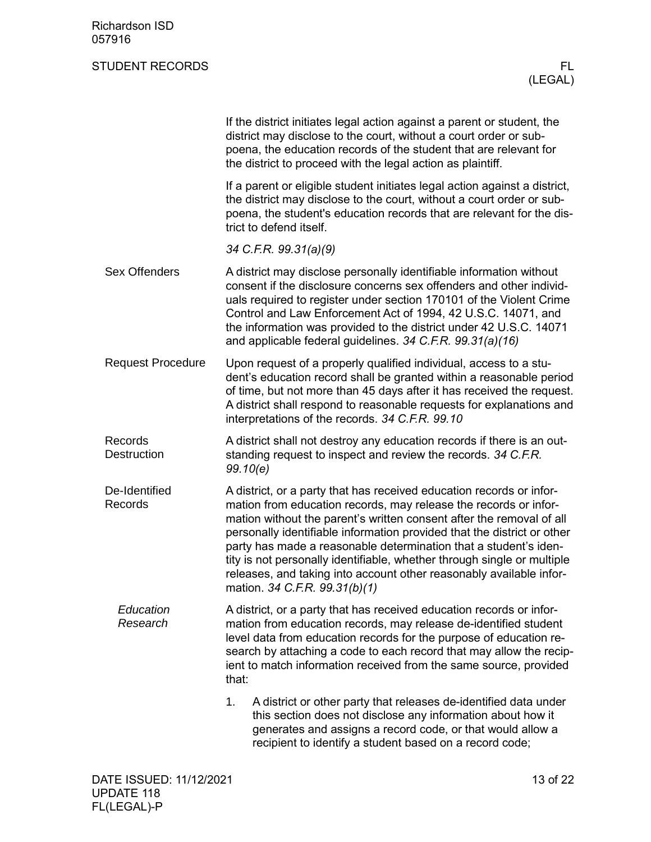<span id="page-12-3"></span><span id="page-12-2"></span><span id="page-12-1"></span><span id="page-12-0"></span>

|                               | If the district initiates legal action against a parent or student, the<br>district may disclose to the court, without a court order or sub-<br>poena, the education records of the student that are relevant for<br>the district to proceed with the legal action as plaintiff.                                                                                                                                                                                                                                                                   |
|-------------------------------|----------------------------------------------------------------------------------------------------------------------------------------------------------------------------------------------------------------------------------------------------------------------------------------------------------------------------------------------------------------------------------------------------------------------------------------------------------------------------------------------------------------------------------------------------|
|                               | If a parent or eligible student initiates legal action against a district,<br>the district may disclose to the court, without a court order or sub-<br>poena, the student's education records that are relevant for the dis-<br>trict to defend itself.                                                                                                                                                                                                                                                                                            |
|                               | 34 C.F.R. 99.31(a)(9)                                                                                                                                                                                                                                                                                                                                                                                                                                                                                                                              |
| <b>Sex Offenders</b>          | A district may disclose personally identifiable information without<br>consent if the disclosure concerns sex offenders and other individ-<br>uals required to register under section 170101 of the Violent Crime<br>Control and Law Enforcement Act of 1994, 42 U.S.C. 14071, and<br>the information was provided to the district under 42 U.S.C. 14071<br>and applicable federal guidelines. 34 C.F.R. 99.31(a)(16)                                                                                                                              |
| <b>Request Procedure</b>      | Upon request of a properly qualified individual, access to a stu-<br>dent's education record shall be granted within a reasonable period<br>of time, but not more than 45 days after it has received the request.<br>A district shall respond to reasonable requests for explanations and<br>interpretations of the records. 34 C.F.R. 99.10                                                                                                                                                                                                       |
| Records<br><b>Destruction</b> | A district shall not destroy any education records if there is an out-<br>standing request to inspect and review the records. 34 C.F.R.<br>99.10(e)                                                                                                                                                                                                                                                                                                                                                                                                |
| De-Identified<br>Records      | A district, or a party that has received education records or infor-<br>mation from education records, may release the records or infor-<br>mation without the parent's written consent after the removal of all<br>personally identifiable information provided that the district or other<br>party has made a reasonable determination that a student's iden-<br>tity is not personally identifiable, whether through single or multiple<br>releases, and taking into account other reasonably available infor-<br>mation. 34 C.F.R. 99.31(b)(1) |
| Education<br>Research         | A district, or a party that has received education records or infor-<br>mation from education records, may release de-identified student<br>level data from education records for the purpose of education re-<br>search by attaching a code to each record that may allow the recip-<br>ient to match information received from the same source, provided<br>that:                                                                                                                                                                                |
|                               | 1.<br>A district or other party that releases de-identified data under<br>this section does not disclose any information about how it<br>generates and assigns a record code, or that would allow a<br>recipient to identify a student based on a record code;                                                                                                                                                                                                                                                                                     |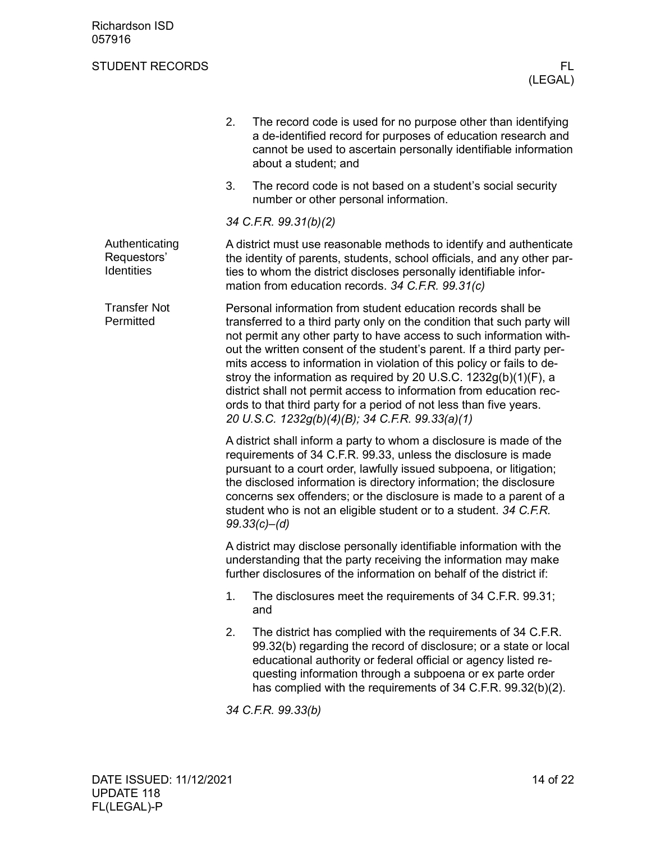<span id="page-13-1"></span><span id="page-13-0"></span>

|                                             | 2.<br>The record code is used for no purpose other than identifying<br>a de-identified record for purposes of education research and<br>cannot be used to ascertain personally identifiable information<br>about a student; and                                                                                                                                                                                                                                                                                                                                                                                                        |  |  |
|---------------------------------------------|----------------------------------------------------------------------------------------------------------------------------------------------------------------------------------------------------------------------------------------------------------------------------------------------------------------------------------------------------------------------------------------------------------------------------------------------------------------------------------------------------------------------------------------------------------------------------------------------------------------------------------------|--|--|
|                                             | 3.<br>The record code is not based on a student's social security<br>number or other personal information.                                                                                                                                                                                                                                                                                                                                                                                                                                                                                                                             |  |  |
|                                             | 34 C.F.R. 99.31(b)(2)                                                                                                                                                                                                                                                                                                                                                                                                                                                                                                                                                                                                                  |  |  |
| Authenticating<br>Requestors'<br>Identities | A district must use reasonable methods to identify and authenticate<br>the identity of parents, students, school officials, and any other par-<br>ties to whom the district discloses personally identifiable infor-<br>mation from education records. 34 C.F.R. 99.31(c)                                                                                                                                                                                                                                                                                                                                                              |  |  |
| <b>Transfer Not</b><br>Permitted            | Personal information from student education records shall be<br>transferred to a third party only on the condition that such party will<br>not permit any other party to have access to such information with-<br>out the written consent of the student's parent. If a third party per-<br>mits access to information in violation of this policy or fails to de-<br>stroy the information as required by 20 U.S.C. 1232g(b)(1)(F), a<br>district shall not permit access to information from education rec-<br>ords to that third party for a period of not less than five years.<br>20 U.S.C. 1232g(b)(4)(B); 34 C.F.R. 99.33(a)(1) |  |  |
|                                             | A district shall inform a party to whom a disclosure is made of the<br>requirements of 34 C.F.R. 99.33, unless the disclosure is made<br>pursuant to a court order, lawfully issued subpoena, or litigation;<br>the disclosed information is directory information; the disclosure<br>concerns sex offenders; or the disclosure is made to a parent of a<br>student who is not an eligible student or to a student. 34 C.F.R.<br>$99.33(c) - (d)$                                                                                                                                                                                      |  |  |
|                                             | A district may disclose personally identifiable information with the<br>understanding that the party receiving the information may make<br>further disclosures of the information on behalf of the district if:                                                                                                                                                                                                                                                                                                                                                                                                                        |  |  |
|                                             | The disclosures meet the requirements of 34 C.F.R. 99.31;<br>1.<br>and                                                                                                                                                                                                                                                                                                                                                                                                                                                                                                                                                                 |  |  |
|                                             | 2.<br>The district has complied with the requirements of 34 C.F.R.<br>99.32(b) regarding the record of disclosure; or a state or local<br>educational authority or federal official or agency listed re-<br>questing information through a subpoena or ex parte order<br>has complied with the requirements of 34 C.F.R. 99.32(b)(2).                                                                                                                                                                                                                                                                                                  |  |  |
|                                             | 34 C.F.R. 99.33(b)                                                                                                                                                                                                                                                                                                                                                                                                                                                                                                                                                                                                                     |  |  |
|                                             |                                                                                                                                                                                                                                                                                                                                                                                                                                                                                                                                                                                                                                        |  |  |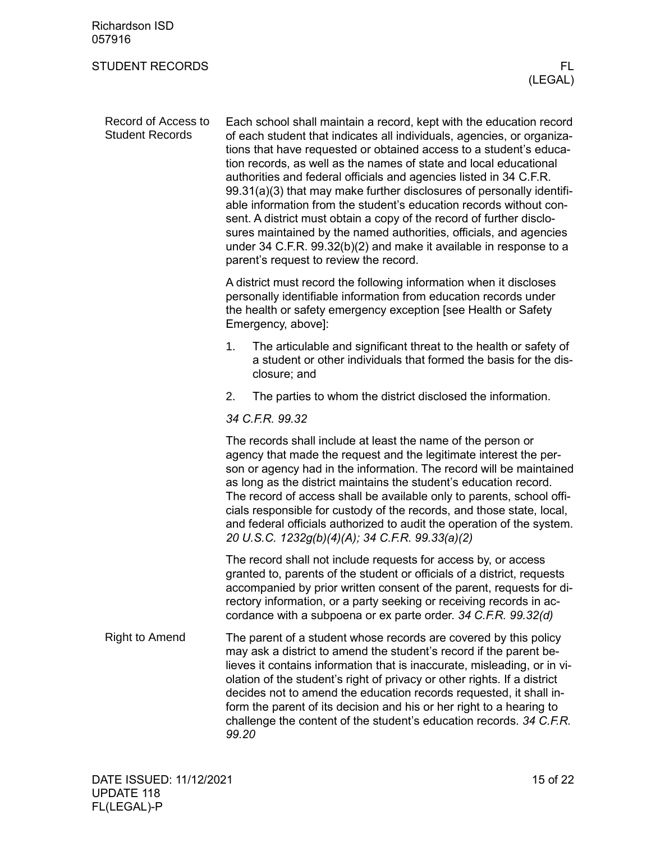<span id="page-14-1"></span><span id="page-14-0"></span>

| <b>Richardson ISD</b><br>057916               |                                                                                                                                                                                                                                                                                                                                                                                                                                                                                                                                                                                                                                                                                                                                                                             |
|-----------------------------------------------|-----------------------------------------------------------------------------------------------------------------------------------------------------------------------------------------------------------------------------------------------------------------------------------------------------------------------------------------------------------------------------------------------------------------------------------------------------------------------------------------------------------------------------------------------------------------------------------------------------------------------------------------------------------------------------------------------------------------------------------------------------------------------------|
| <b>STUDENT RECORDS</b>                        | FL.<br>(LEGAL)                                                                                                                                                                                                                                                                                                                                                                                                                                                                                                                                                                                                                                                                                                                                                              |
| Record of Access to<br><b>Student Records</b> | Each school shall maintain a record, kept with the education record<br>of each student that indicates all individuals, agencies, or organiza-<br>tions that have requested or obtained access to a student's educa-<br>tion records, as well as the names of state and local educational<br>authorities and federal officials and agencies listed in 34 C.F.R.<br>99.31(a)(3) that may make further disclosures of personally identifi-<br>able information from the student's education records without con-<br>sent. A district must obtain a copy of the record of further disclo-<br>sures maintained by the named authorities, officials, and agencies<br>under 34 C.F.R. 99.32(b)(2) and make it available in response to a<br>parent's request to review the record. |
|                                               | A district must record the following information when it discloses<br>personally identifiable information from education records under<br>the health or safety emergency exception [see Health or Safety<br>Emergency, above]:                                                                                                                                                                                                                                                                                                                                                                                                                                                                                                                                              |
|                                               | The articulable and significant threat to the health or safety of<br>1.<br>a student or other individuals that formed the basis for the dis-<br>closure; and                                                                                                                                                                                                                                                                                                                                                                                                                                                                                                                                                                                                                |
|                                               | 2.<br>The parties to whom the district disclosed the information.                                                                                                                                                                                                                                                                                                                                                                                                                                                                                                                                                                                                                                                                                                           |
|                                               | 34 C.F.R. 99.32                                                                                                                                                                                                                                                                                                                                                                                                                                                                                                                                                                                                                                                                                                                                                             |
|                                               | The records shall include at least the name of the person or<br>agency that made the request and the legitimate interest the per-<br>son or agency had in the information. The record will be maintained<br>as long as the district maintains the student's education record.<br>The record of access shall be available only to parents, school offi-<br>cials responsible for custody of the records, and those state, local,<br>and federal officials authorized to audit the operation of the system.<br>20 U.S.C. 1232g(b)(4)(A); 34 C.F.R. 99.33(a)(2)                                                                                                                                                                                                                |
|                                               | The record shall not include requests for access by, or access<br>granted to, parents of the student or officials of a district, requests<br>accompanied by prior written consent of the parent, requests for di-<br>rectory information, or a party seeking or receiving records in ac-<br>cordance with a subpoena or ex parte order. 34 C.F.R. 99.32(d)                                                                                                                                                                                                                                                                                                                                                                                                                  |
| <b>Right to Amend</b>                         | The parent of a student whose records are covered by this policy<br>may ask a district to amend the student's record if the parent be-<br>lieves it contains information that is inaccurate, misleading, or in vi-<br>olation of the student's right of privacy or other rights. If a district<br>decides not to amend the education records requested, it shall in-<br>form the parent of its decision and his or her right to a hearing to<br>challenge the content of the student's education records. 34 C.F.R.<br>99.20                                                                                                                                                                                                                                                |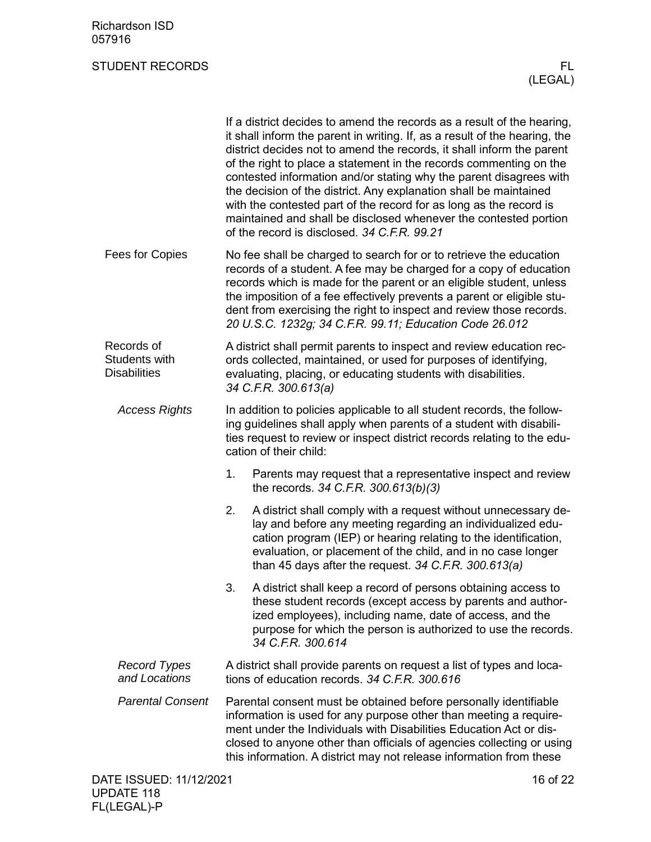<span id="page-15-1"></span><span id="page-15-0"></span>

|                                                    | If a district decides to amend the records as a result of the hearing,<br>it shall inform the parent in writing. If, as a result of the hearing, the<br>district decides not to amend the records, it shall inform the parent<br>of the right to place a statement in the records commenting on the<br>contested information and/or stating why the parent disagrees with<br>the decision of the district. Any explanation shall be maintained<br>with the contested part of the record for as long as the record is<br>maintained and shall be disclosed whenever the contested portion<br>of the record is disclosed. 34 C.F.R. 99.21 |  |  |
|----------------------------------------------------|-----------------------------------------------------------------------------------------------------------------------------------------------------------------------------------------------------------------------------------------------------------------------------------------------------------------------------------------------------------------------------------------------------------------------------------------------------------------------------------------------------------------------------------------------------------------------------------------------------------------------------------------|--|--|
| Fees for Copies                                    | No fee shall be charged to search for or to retrieve the education<br>records of a student. A fee may be charged for a copy of education<br>records which is made for the parent or an eligible student, unless<br>the imposition of a fee effectively prevents a parent or eligible stu-<br>dent from exercising the right to inspect and review those records.<br>20 U.S.C. 1232g; 34 C.F.R. 99.11; Education Code 26.012                                                                                                                                                                                                             |  |  |
| Records of<br>Students with<br><b>Disabilities</b> | A district shall permit parents to inspect and review education rec-<br>ords collected, maintained, or used for purposes of identifying,<br>evaluating, placing, or educating students with disabilities.<br>34 C.F.R. 300.613(a)                                                                                                                                                                                                                                                                                                                                                                                                       |  |  |
| <b>Access Rights</b>                               | In addition to policies applicable to all student records, the follow-<br>ing guidelines shall apply when parents of a student with disabili-<br>ties request to review or inspect district records relating to the edu-<br>cation of their child:                                                                                                                                                                                                                                                                                                                                                                                      |  |  |
|                                                    | Parents may request that a representative inspect and review<br>1.<br>the records. 34 C.F.R. 300.613(b)(3)                                                                                                                                                                                                                                                                                                                                                                                                                                                                                                                              |  |  |
|                                                    | A district shall comply with a request without unnecessary de-<br>2.<br>lay and before any meeting regarding an individualized edu-<br>cation program (IEP) or hearing relating to the identification,<br>evaluation, or placement of the child, and in no case longer<br>than 45 days after the request. 34 C.F.R. 300.613(a)                                                                                                                                                                                                                                                                                                          |  |  |
|                                                    | 3.<br>A district shall keep a record of persons obtaining access to<br>these student records (except access by parents and author-<br>ized employees), including name, date of access, and the<br>purpose for which the person is authorized to use the records.<br>34 C.F.R. 300.614                                                                                                                                                                                                                                                                                                                                                   |  |  |
| <b>Record Types</b><br>and Locations               | A district shall provide parents on request a list of types and loca-<br>tions of education records. 34 C.F.R. 300.616                                                                                                                                                                                                                                                                                                                                                                                                                                                                                                                  |  |  |
| <b>Parental Consent</b>                            | Parental consent must be obtained before personally identifiable<br>information is used for any purpose other than meeting a require-<br>ment under the Individuals with Disabilities Education Act or dis-<br>closed to anyone other than officials of agencies collecting or using<br>this information. A district may not release information from these                                                                                                                                                                                                                                                                             |  |  |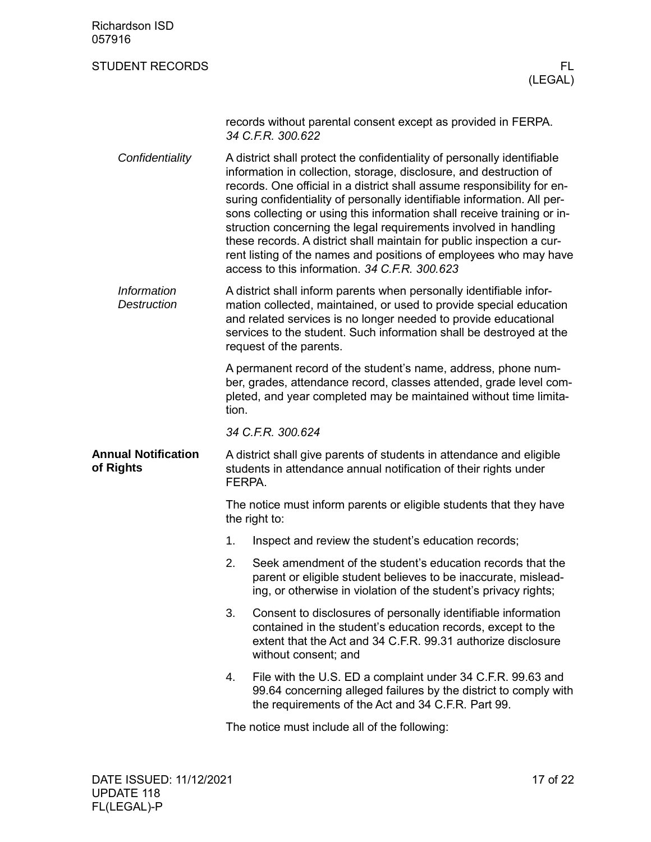<span id="page-16-0"></span>

| <b>Richardson ISD</b><br>057916          |                                                                                                                                                                                                                                                                                                                                                                                                                                                                                                                                                                                                                                                   |  |  |
|------------------------------------------|---------------------------------------------------------------------------------------------------------------------------------------------------------------------------------------------------------------------------------------------------------------------------------------------------------------------------------------------------------------------------------------------------------------------------------------------------------------------------------------------------------------------------------------------------------------------------------------------------------------------------------------------------|--|--|
| <b>STUDENT RECORDS</b>                   | FL<br>(LEGAL)                                                                                                                                                                                                                                                                                                                                                                                                                                                                                                                                                                                                                                     |  |  |
|                                          | records without parental consent except as provided in FERPA.<br>34 C.F.R. 300.622                                                                                                                                                                                                                                                                                                                                                                                                                                                                                                                                                                |  |  |
| Confidentiality                          | A district shall protect the confidentiality of personally identifiable<br>information in collection, storage, disclosure, and destruction of<br>records. One official in a district shall assume responsibility for en-<br>suring confidentiality of personally identifiable information. All per-<br>sons collecting or using this information shall receive training or in-<br>struction concerning the legal requirements involved in handling<br>these records. A district shall maintain for public inspection a cur-<br>rent listing of the names and positions of employees who may have<br>access to this information, 34 C.F.R. 300.623 |  |  |
| <b>Information</b><br><b>Destruction</b> | A district shall inform parents when personally identifiable infor-<br>mation collected, maintained, or used to provide special education<br>and related services is no longer needed to provide educational<br>services to the student. Such information shall be destroyed at the<br>request of the parents.                                                                                                                                                                                                                                                                                                                                    |  |  |
|                                          | A permanent record of the student's name, address, phone num-<br>ber, grades, attendance record, classes attended, grade level com-<br>pleted, and year completed may be maintained without time limita-<br>tion.                                                                                                                                                                                                                                                                                                                                                                                                                                 |  |  |
|                                          | 34 C.F.R. 300.624                                                                                                                                                                                                                                                                                                                                                                                                                                                                                                                                                                                                                                 |  |  |
| <b>Annual Notification</b><br>of Rights  | A district shall give parents of students in attendance and eligible<br>students in attendance annual notification of their rights under<br>FERPA.                                                                                                                                                                                                                                                                                                                                                                                                                                                                                                |  |  |
|                                          | The notice must inform parents or eligible students that they have<br>the right to:                                                                                                                                                                                                                                                                                                                                                                                                                                                                                                                                                               |  |  |
|                                          | 1.<br>Inspect and review the student's education records;                                                                                                                                                                                                                                                                                                                                                                                                                                                                                                                                                                                         |  |  |
|                                          | 2.<br>Seek amendment of the student's education records that the<br>parent or eligible student believes to be inaccurate, mislead-<br>ing, or otherwise in violation of the student's privacy rights;                                                                                                                                                                                                                                                                                                                                                                                                                                             |  |  |
|                                          | 3.<br>Consent to disclosures of personally identifiable information<br>contained in the student's education records, except to the<br>extent that the Act and 34 C.F.R. 99.31 authorize disclosure<br>without consent; and                                                                                                                                                                                                                                                                                                                                                                                                                        |  |  |
|                                          | 4.<br>File with the U.S. ED a complaint under 34 C.F.R. 99.63 and<br>99.64 concerning alleged failures by the district to comply with<br>the requirements of the Act and 34 C.F.R. Part 99.                                                                                                                                                                                                                                                                                                                                                                                                                                                       |  |  |
|                                          | The notice must include all of the following:                                                                                                                                                                                                                                                                                                                                                                                                                                                                                                                                                                                                     |  |  |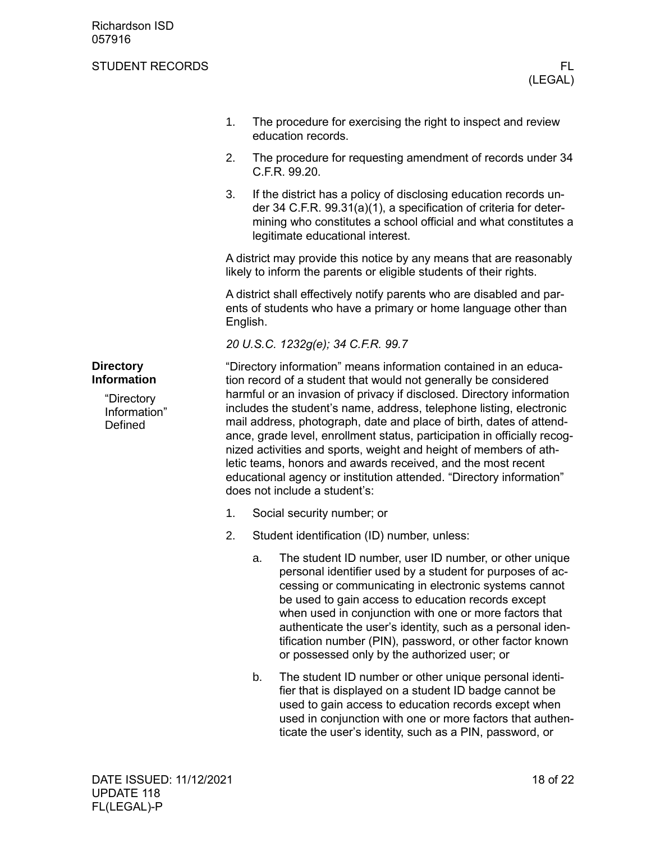#### STUDENT RECORDS FLOW THE STUDENT RECORDS FLOW THAT IS A RELATED FLOW THAT IS A RELATED FLOW THAT IS A RELATED THAT IS A RELATED FLOW THAT IS A RELATED FLOW THAT IS A RELATED FLOW THAT IS A RELATED FOR DISPLACING THAT IS A

- 1. The procedure for exercising the right to inspect and review education records.
- 2. The procedure for requesting amendment of records under 34 C.F.R. 99.20.
- 3. If the district has a policy of disclosing education records under 34 C.F.R. 99.31(a)(1), a specification of criteria for determining who constitutes a school official and what constitutes a legitimate educational interest.

A district may provide this notice by any means that are reasonably likely to inform the parents or eligible students of their rights.

A district shall effectively notify parents who are disabled and parents of students who have a primary or home language other than English.

*20 U.S.C. 1232g(e); 34 C.F.R. 99.7*

"Directory information" means information contained in an education record of a student that would not generally be considered harmful or an invasion of privacy if disclosed. Directory information includes the student's name, address, telephone listing, electronic mail address, photograph, date and place of birth, dates of attendance, grade level, enrollment status, participation in officially recognized activities and sports, weight and height of members of athletic teams, honors and awards received, and the most recent educational agency or institution attended. "Directory information" does not include a student's:

- 1. Social security number; or
- 2. Student identification (ID) number, unless:
	- a. The student ID number, user ID number, or other unique personal identifier used by a student for purposes of accessing or communicating in electronic systems cannot be used to gain access to education records except when used in conjunction with one or more factors that authenticate the user's identity, such as a personal identification number (PIN), password, or other factor known or possessed only by the authorized user; or
	- b. The student ID number or other unique personal identifier that is displayed on a student ID badge cannot be used to gain access to education records except when used in conjunction with one or more factors that authenticate the user's identity, such as a PIN, password, or

#### <span id="page-17-0"></span>**Directory Information**

<span id="page-17-1"></span>"Directory Information" **Defined**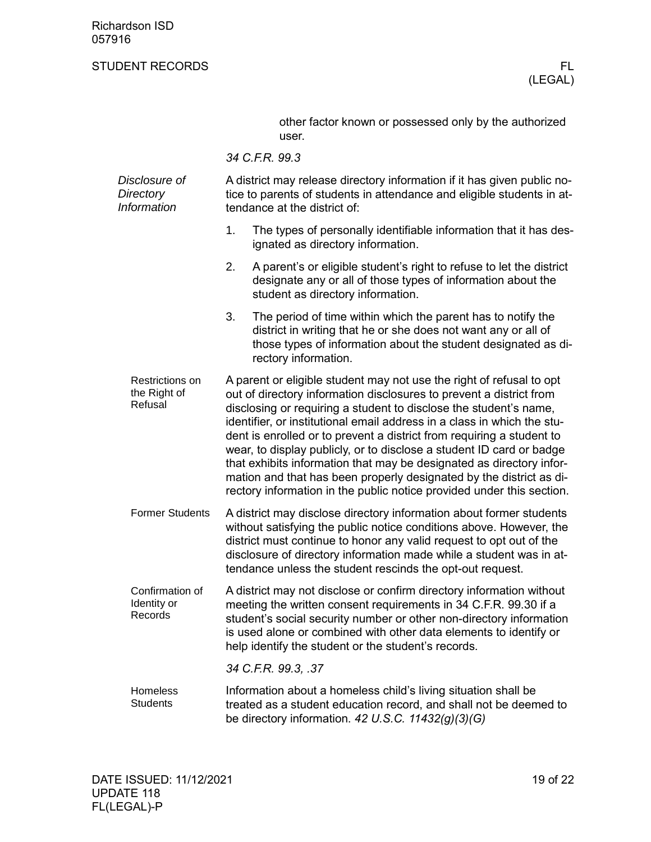other factor known or possessed only by the authorized user.

*34 C.F.R. 99.3*

| Disclosure of<br>Directory<br>Information  |    | A district may release directory information if it has given public no-<br>tice to parents of students in attendance and eligible students in at-<br>tendance at the district of:                                                                                                                                                                                                                                                                                                                                                                                                                                                                                    |  |  |
|--------------------------------------------|----|----------------------------------------------------------------------------------------------------------------------------------------------------------------------------------------------------------------------------------------------------------------------------------------------------------------------------------------------------------------------------------------------------------------------------------------------------------------------------------------------------------------------------------------------------------------------------------------------------------------------------------------------------------------------|--|--|
|                                            | 1. | The types of personally identifiable information that it has des-<br>ignated as directory information.                                                                                                                                                                                                                                                                                                                                                                                                                                                                                                                                                               |  |  |
|                                            | 2. | A parent's or eligible student's right to refuse to let the district<br>designate any or all of those types of information about the<br>student as directory information.                                                                                                                                                                                                                                                                                                                                                                                                                                                                                            |  |  |
|                                            | 3. | The period of time within which the parent has to notify the<br>district in writing that he or she does not want any or all of<br>those types of information about the student designated as di-<br>rectory information.                                                                                                                                                                                                                                                                                                                                                                                                                                             |  |  |
| Restrictions on<br>the Right of<br>Refusal |    | A parent or eligible student may not use the right of refusal to opt<br>out of directory information disclosures to prevent a district from<br>disclosing or requiring a student to disclose the student's name,<br>identifier, or institutional email address in a class in which the stu-<br>dent is enrolled or to prevent a district from requiring a student to<br>wear, to display publicly, or to disclose a student ID card or badge<br>that exhibits information that may be designated as directory infor-<br>mation and that has been properly designated by the district as di-<br>rectory information in the public notice provided under this section. |  |  |
| <b>Former Students</b>                     |    | A district may disclose directory information about former students<br>without satisfying the public notice conditions above. However, the<br>district must continue to honor any valid request to opt out of the<br>disclosure of directory information made while a student was in at-<br>tendance unless the student rescinds the opt-out request.                                                                                                                                                                                                                                                                                                                |  |  |
| Confirmation of<br>Identity or<br>Records  |    | A district may not disclose or confirm directory information without<br>meeting the written consent requirements in 34 C.F.R. 99.30 if a<br>student's social security number or other non-directory information<br>is used alone or combined with other data elements to identify or<br>help identify the student or the student's records.                                                                                                                                                                                                                                                                                                                          |  |  |
|                                            |    | 34 C.F.R. 99.3, .37                                                                                                                                                                                                                                                                                                                                                                                                                                                                                                                                                                                                                                                  |  |  |
| Homeless<br><b>Students</b>                |    | Information about a homeless child's living situation shall be<br>treated as a student education record, and shall not be deemed to<br>be directory information. 42 U.S.C. 11432(g)(3)(G)                                                                                                                                                                                                                                                                                                                                                                                                                                                                            |  |  |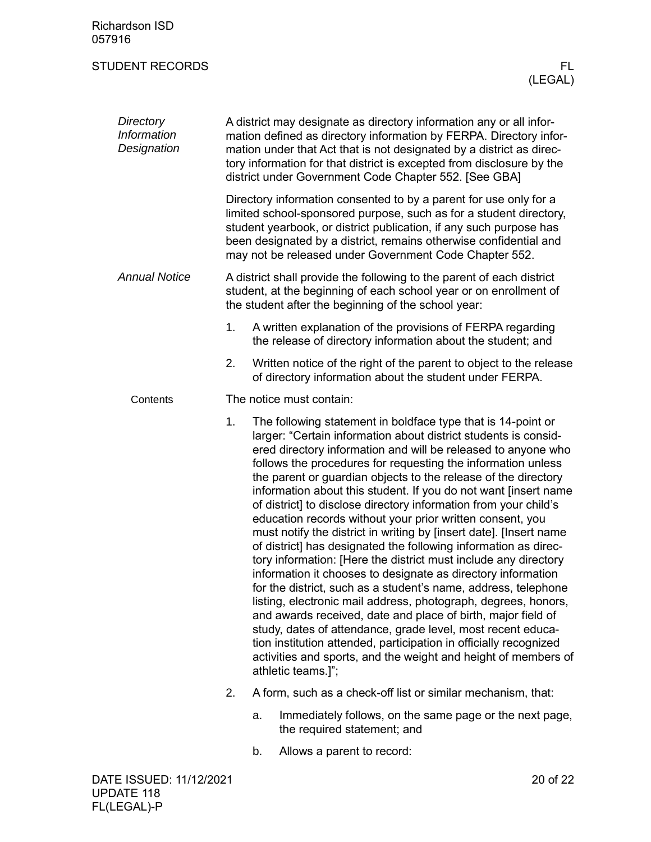| <b>Richardson ISD</b><br>057916         |    |                                                                                                                                                                                                                                                                                                                                                                                                                                                                                                                                                                                                                                                                                                                                                                                                                                                                                                                                                                                                                                                                                                                                                                                                                                                    |
|-----------------------------------------|----|----------------------------------------------------------------------------------------------------------------------------------------------------------------------------------------------------------------------------------------------------------------------------------------------------------------------------------------------------------------------------------------------------------------------------------------------------------------------------------------------------------------------------------------------------------------------------------------------------------------------------------------------------------------------------------------------------------------------------------------------------------------------------------------------------------------------------------------------------------------------------------------------------------------------------------------------------------------------------------------------------------------------------------------------------------------------------------------------------------------------------------------------------------------------------------------------------------------------------------------------------|
| <b>STUDENT RECORDS</b>                  |    | FL.<br>(LEGAL)                                                                                                                                                                                                                                                                                                                                                                                                                                                                                                                                                                                                                                                                                                                                                                                                                                                                                                                                                                                                                                                                                                                                                                                                                                     |
| Directory<br>Information<br>Designation |    | A district may designate as directory information any or all infor-<br>mation defined as directory information by FERPA. Directory infor-<br>mation under that Act that is not designated by a district as direc-<br>tory information for that district is excepted from disclosure by the<br>district under Government Code Chapter 552. [See GBA]                                                                                                                                                                                                                                                                                                                                                                                                                                                                                                                                                                                                                                                                                                                                                                                                                                                                                                |
|                                         |    | Directory information consented to by a parent for use only for a<br>limited school-sponsored purpose, such as for a student directory,<br>student yearbook, or district publication, if any such purpose has<br>been designated by a district, remains otherwise confidential and<br>may not be released under Government Code Chapter 552.                                                                                                                                                                                                                                                                                                                                                                                                                                                                                                                                                                                                                                                                                                                                                                                                                                                                                                       |
| <b>Annual Notice</b>                    |    | A district shall provide the following to the parent of each district<br>student, at the beginning of each school year or on enrollment of<br>the student after the beginning of the school year:                                                                                                                                                                                                                                                                                                                                                                                                                                                                                                                                                                                                                                                                                                                                                                                                                                                                                                                                                                                                                                                  |
|                                         | 1. | A written explanation of the provisions of FERPA regarding<br>the release of directory information about the student; and                                                                                                                                                                                                                                                                                                                                                                                                                                                                                                                                                                                                                                                                                                                                                                                                                                                                                                                                                                                                                                                                                                                          |
|                                         | 2. | Written notice of the right of the parent to object to the release<br>of directory information about the student under FERPA.                                                                                                                                                                                                                                                                                                                                                                                                                                                                                                                                                                                                                                                                                                                                                                                                                                                                                                                                                                                                                                                                                                                      |
| Contents                                |    | The notice must contain:                                                                                                                                                                                                                                                                                                                                                                                                                                                                                                                                                                                                                                                                                                                                                                                                                                                                                                                                                                                                                                                                                                                                                                                                                           |
|                                         | 1. | The following statement in boldface type that is 14-point or<br>larger: "Certain information about district students is consid-<br>ered directory information and will be released to anyone who<br>follows the procedures for requesting the information unless<br>the parent or guardian objects to the release of the directory<br>information about this student. If you do not want [insert name<br>of district] to disclose directory information from your child's<br>education records without your prior written consent, you<br>must notify the district in writing by [insert date]. [Insert name<br>of district] has designated the following information as direc-<br>tory information: [Here the district must include any directory<br>information it chooses to designate as directory information<br>for the district, such as a student's name, address, telephone<br>listing, electronic mail address, photograph, degrees, honors,<br>and awards received, date and place of birth, major field of<br>study, dates of attendance, grade level, most recent educa-<br>tion institution attended, participation in officially recognized<br>activities and sports, and the weight and height of members of<br>athletic teams.]"; |
|                                         | 2. | A form, such as a check-off list or similar mechanism, that:                                                                                                                                                                                                                                                                                                                                                                                                                                                                                                                                                                                                                                                                                                                                                                                                                                                                                                                                                                                                                                                                                                                                                                                       |
|                                         |    | Immediately follows, on the same page or the next page,<br>a.<br>the required statement; and                                                                                                                                                                                                                                                                                                                                                                                                                                                                                                                                                                                                                                                                                                                                                                                                                                                                                                                                                                                                                                                                                                                                                       |
|                                         |    | Allows a parent to record:<br>b.                                                                                                                                                                                                                                                                                                                                                                                                                                                                                                                                                                                                                                                                                                                                                                                                                                                                                                                                                                                                                                                                                                                                                                                                                   |
| DATE ISSUED: 11/12/2021                 |    | 20 of 22                                                                                                                                                                                                                                                                                                                                                                                                                                                                                                                                                                                                                                                                                                                                                                                                                                                                                                                                                                                                                                                                                                                                                                                                                                           |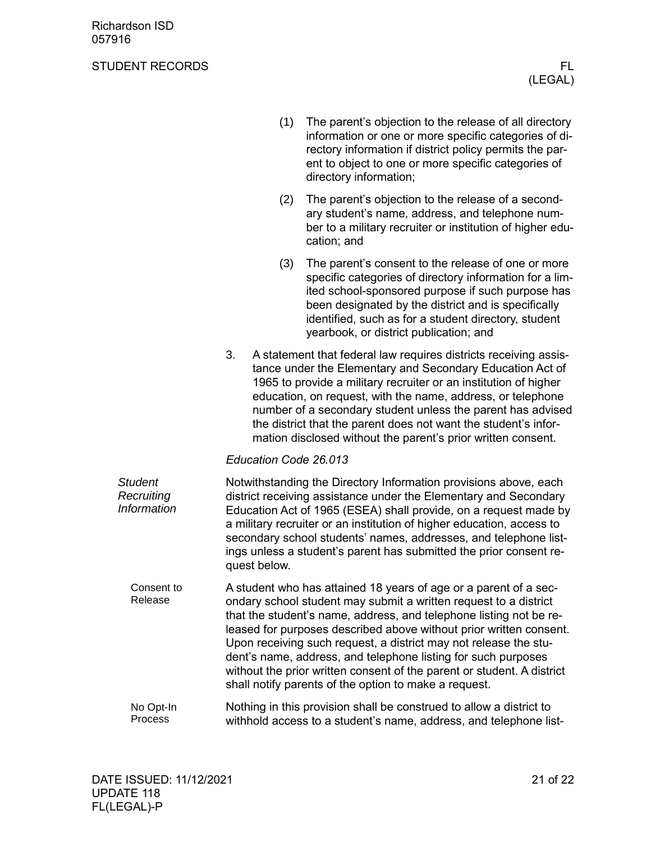|                                             | (1)                   | The parent's objection to the release of all directory<br>information or one or more specific categories of di-<br>rectory information if district policy permits the par-<br>ent to object to one or more specific categories of<br>directory information;                                                                                                                                                                                                                                                                                              |
|---------------------------------------------|-----------------------|----------------------------------------------------------------------------------------------------------------------------------------------------------------------------------------------------------------------------------------------------------------------------------------------------------------------------------------------------------------------------------------------------------------------------------------------------------------------------------------------------------------------------------------------------------|
|                                             | (2)                   | The parent's objection to the release of a second-<br>ary student's name, address, and telephone num-<br>ber to a military recruiter or institution of higher edu-<br>cation; and                                                                                                                                                                                                                                                                                                                                                                        |
|                                             | (3)                   | The parent's consent to the release of one or more<br>specific categories of directory information for a lim-<br>ited school-sponsored purpose if such purpose has<br>been designated by the district and is specifically<br>identified, such as for a student directory, student<br>yearbook, or district publication; and                                                                                                                                                                                                                              |
|                                             | 3.                    | A statement that federal law requires districts receiving assis-<br>tance under the Elementary and Secondary Education Act of<br>1965 to provide a military recruiter or an institution of higher<br>education, on request, with the name, address, or telephone<br>number of a secondary student unless the parent has advised<br>the district that the parent does not want the student's infor-<br>mation disclosed without the parent's prior written consent.                                                                                       |
|                                             | Education Code 26.013 |                                                                                                                                                                                                                                                                                                                                                                                                                                                                                                                                                          |
| <b>Student</b><br>Recruiting<br>Information | quest below.          | Notwithstanding the Directory Information provisions above, each<br>district receiving assistance under the Elementary and Secondary<br>Education Act of 1965 (ESEA) shall provide, on a request made by<br>a military recruiter or an institution of higher education, access to<br>secondary school students' names, addresses, and telephone list-<br>ings unless a student's parent has submitted the prior consent re-                                                                                                                              |
| Consent to<br>Release                       |                       | A student who has attained 18 years of age or a parent of a sec-<br>ondary school student may submit a written request to a district<br>that the student's name, address, and telephone listing not be re-<br>leased for purposes described above without prior written consent.<br>Upon receiving such request, a district may not release the stu-<br>dent's name, address, and telephone listing for such purposes<br>without the prior written consent of the parent or student. A district<br>shall notify parents of the option to make a request. |
| No Opt-In<br>Process                        |                       | Nothing in this provision shall be construed to allow a district to<br>withhold access to a student's name, address, and telephone list-                                                                                                                                                                                                                                                                                                                                                                                                                 |